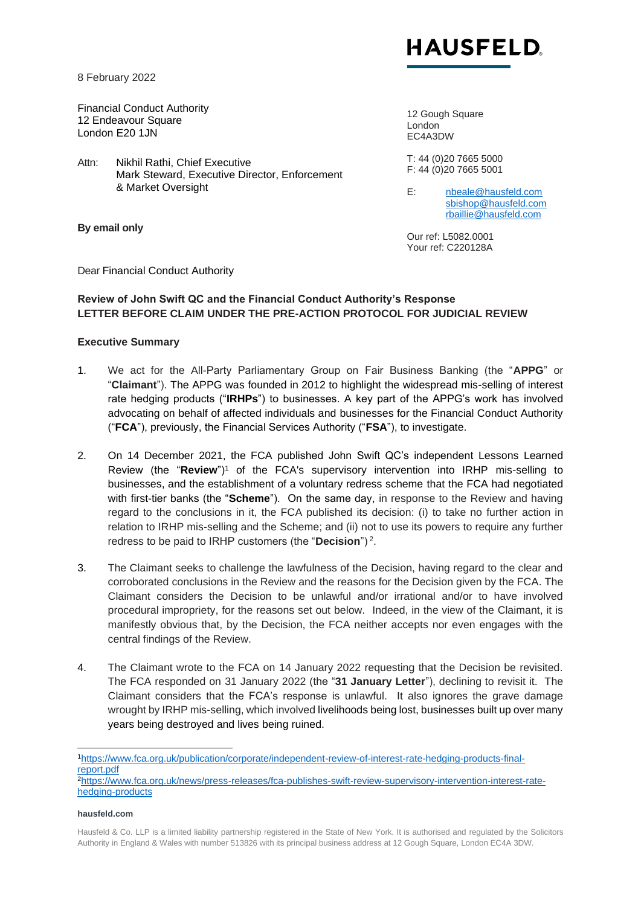

8 February 2022

Financial Conduct Authority 12 Endeavour Square London E20 1JN

Attn: Nikhil Rathi, Chief Executive Mark Steward, Executive Director, Enforcement & Market Oversight

**By email only**

12 Gough Square London EC4A3DW

T: 44 (0)20 7665 5000 F: 44 (0)20 7665 5001

E: [nbeale@hausfeld.com](mailto:nbeale@hausfeld.com) [sbishop@hausfeld.com](mailto:sbishop@hausfeld.com) [rbaillie@hausfeld.com](mailto:rbaillie@hausfeld.com)

Our ref: L5082.0001 Your ref: C220128A

Dear Financial Conduct Authority

### **Review of John Swift QC and the Financial Conduct Authority's Response LETTER BEFORE CLAIM UNDER THE PRE-ACTION PROTOCOL FOR JUDICIAL REVIEW**

### **Executive Summary**

- 1. We act for the All-Party Parliamentary Group on Fair Business Banking (the "**APPG**" or "**Claimant**"). The APPG was founded in 2012 to highlight the widespread mis-selling of interest rate hedging products ("**IRHPs**") to businesses. A key part of the APPG's work has involved advocating on behalf of affected individuals and businesses for the Financial Conduct Authority ("**FCA**"), previously, the Financial Services Authority ("**FSA**"), to investigate.
- 2. On 14 December 2021, the FCA published John Swift QC's independent Lessons Learned Review (the "**Review**")<sup>1</sup> of the FCA's supervisory intervention into IRHP mis-selling to businesses, and the establishment of a voluntary redress scheme that the FCA had negotiated with first-tier banks (the "**Scheme**"). On the same day, in response to the Review and having regard to the conclusions in it, the FCA published its decision: (i) to take no further action in relation to IRHP mis-selling and the Scheme; and (ii) not to use its powers to require any further redress to be paid to IRHP customers (the "**Decision**") <sup>2</sup> .
- 3. The Claimant seeks to challenge the lawfulness of the Decision, having regard to the clear and corroborated conclusions in the Review and the reasons for the Decision given by the FCA. The Claimant considers the Decision to be unlawful and/or irrational and/or to have involved procedural impropriety, for the reasons set out below. Indeed, in the view of the Claimant, it is manifestly obvious that, by the Decision, the FCA neither accepts nor even engages with the central findings of the Review.
- 4. The Claimant wrote to the FCA on 14 January 2022 requesting that the Decision be revisited. The FCA responded on 31 January 2022 (the "**31 January Letter**"), declining to revisit it. The Claimant considers that the FCA's response is unlawful. It also ignores the grave damage wrought by IRHP mis-selling, which involved livelihoods being lost, businesses built up over many years being destroyed and lives being ruined.

#### **hausfeld.com**

<sup>1</sup>[https://www.fca.org.uk/publication/corporate/independent-review-of-interest-rate-hedging-products-final](https://www.fca.org.uk/publication/corporate/independent-review-of-interest-rate-hedging-products-final-report.pdf)[report.pdf](https://www.fca.org.uk/publication/corporate/independent-review-of-interest-rate-hedging-products-final-report.pdf)

<sup>2</sup>[https://www.fca.org.uk/news/press-releases/fca-publishes-swift-review-supervisory-intervention-interest-rate](https://www.fca.org.uk/news/press-releases/fca-publishes-swift-review-supervisory-intervention-interest-rate-hedging-products)[hedging-products](https://www.fca.org.uk/news/press-releases/fca-publishes-swift-review-supervisory-intervention-interest-rate-hedging-products)

Hausfeld & Co. LLP is a limited liability partnership registered in the State of New York. It is authorised and regulated by the Solicitors Authority in England & Wales with number 513826 with its principal business address at 12 Gough Square, London EC4A 3DW.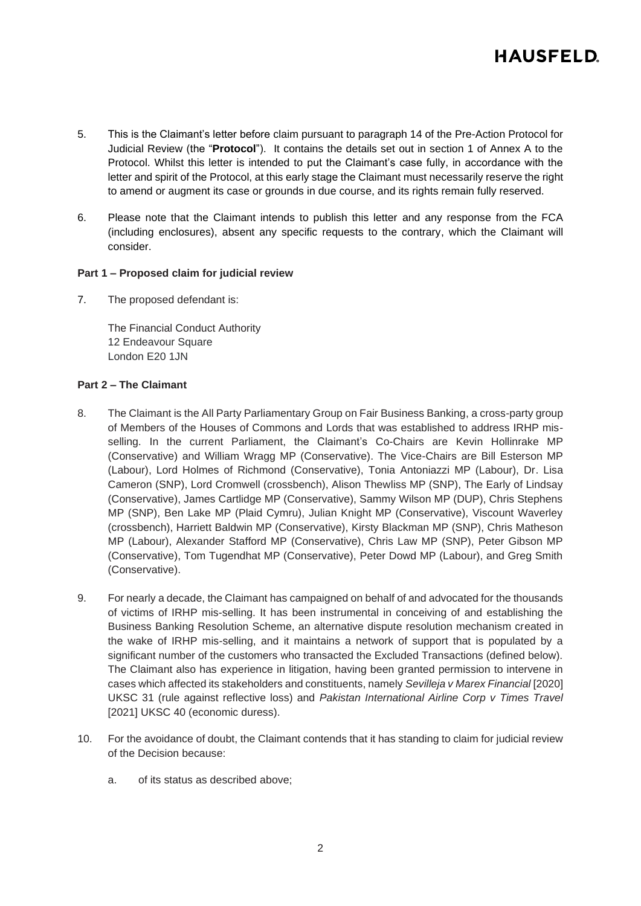

- 5. This is the Claimant's letter before claim pursuant to paragraph 14 of the Pre-Action Protocol for Judicial Review (the "**Protocol**"). It contains the details set out in section 1 of Annex A to the Protocol. Whilst this letter is intended to put the Claimant's case fully, in accordance with the letter and spirit of the Protocol, at this early stage the Claimant must necessarily reserve the right to amend or augment its case or grounds in due course, and its rights remain fully reserved.
- 6. Please note that the Claimant intends to publish this letter and any response from the FCA (including enclosures), absent any specific requests to the contrary, which the Claimant will consider.

#### **Part 1 – Proposed claim for judicial review**

7. The proposed defendant is:

The Financial Conduct Authority 12 Endeavour Square London E20 1JN

### **Part 2 – The Claimant**

- 8. The Claimant is the All Party Parliamentary Group on Fair Business Banking, a cross-party group of Members of the Houses of Commons and Lords that was established to address IRHP misselling. In the current Parliament, the Claimant's Co-Chairs are Kevin Hollinrake MP (Conservative) and William Wragg MP (Conservative). The Vice-Chairs are Bill Esterson MP (Labour), Lord Holmes of Richmond (Conservative), Tonia Antoniazzi MP (Labour), Dr. Lisa Cameron (SNP), Lord Cromwell (crossbench), Alison Thewliss MP (SNP), The Early of Lindsay (Conservative), James Cartlidge MP (Conservative), Sammy Wilson MP (DUP), Chris Stephens MP (SNP), Ben Lake MP (Plaid Cymru), Julian Knight MP (Conservative), Viscount Waverley (crossbench), Harriett Baldwin MP (Conservative), Kirsty Blackman MP (SNP), Chris Matheson MP (Labour), Alexander Stafford MP (Conservative), Chris Law MP (SNP), Peter Gibson MP (Conservative), Tom Tugendhat MP (Conservative), Peter Dowd MP (Labour), and Greg Smith (Conservative).
- 9. For nearly a decade, the Claimant has campaigned on behalf of and advocated for the thousands of victims of IRHP mis-selling. It has been instrumental in conceiving of and establishing the Business Banking Resolution Scheme, an alternative dispute resolution mechanism created in the wake of IRHP mis-selling, and it maintains a network of support that is populated by a significant number of the customers who transacted the Excluded Transactions (defined below). The Claimant also has experience in litigation, having been granted permission to intervene in cases which affected its stakeholders and constituents, namely *Sevilleja v Marex Financial* [2020] UKSC 31 (rule against reflective loss) and *Pakistan International Airline Corp v Times Travel*  [2021] UKSC 40 (economic duress).
- 10. For the avoidance of doubt, the Claimant contends that it has standing to claim for judicial review of the Decision because:
	- a. of its status as described above;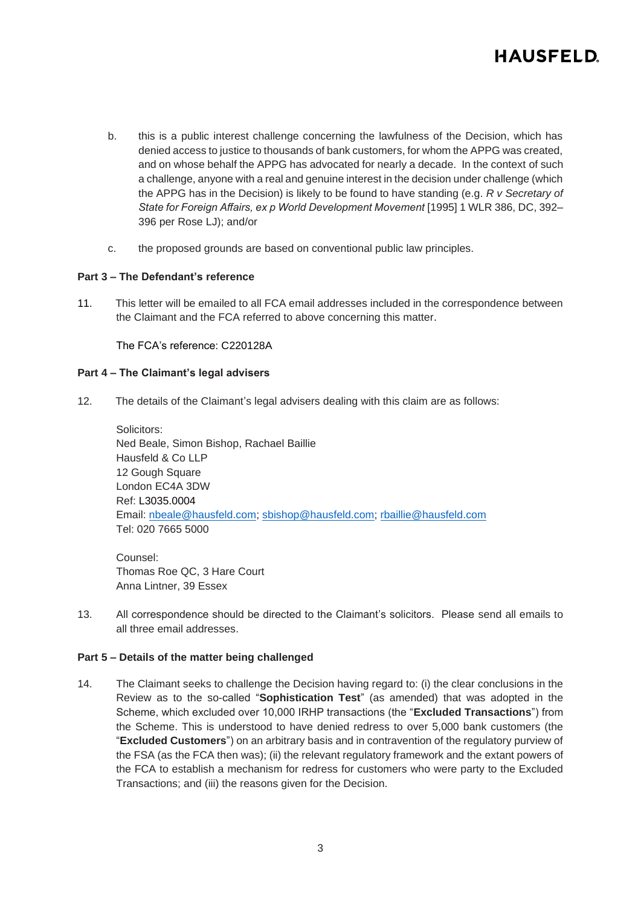

- b. this is a public interest challenge concerning the lawfulness of the Decision, which has denied access to justice to thousands of bank customers, for whom the APPG was created, and on whose behalf the APPG has advocated for nearly a decade. In the context of such a challenge, anyone with a real and genuine interest in the decision under challenge (which the APPG has in the Decision) is likely to be found to have standing (e.g. *R v Secretary of State for Foreign Affairs, ex p World Development Movement* [1995] 1 WLR 386, DC, 392– 396 per Rose LJ); and/or
- c. the proposed grounds are based on conventional public law principles.

### **Part 3 – The Defendant's reference**

11. This letter will be emailed to all FCA email addresses included in the correspondence between the Claimant and the FCA referred to above concerning this matter.

The FCA's reference: C220128A

#### **Part 4 – The Claimant's legal advisers**

12. The details of the Claimant's legal advisers dealing with this claim are as follows:

Solicitors: Ned Beale, Simon Bishop, Rachael Baillie Hausfeld & Co LLP 12 Gough Square London EC4A 3DW Ref: L3035.0004 Email: [nbeale@hausfeld.com;](mailto:nbeale@hausfeld.com) [sbishop@hausfeld.com;](mailto:sbishop@hausfeld.com) [rbaillie@hausfeld.com](mailto:rbaillie@hausfeld.com) Tel: 020 7665 5000

Counsel: Thomas Roe QC, 3 Hare Court Anna Lintner, 39 Essex

13. All correspondence should be directed to the Claimant's solicitors. Please send all emails to all three email addresses.

#### **Part 5 – Details of the matter being challenged**

14. The Claimant seeks to challenge the Decision having regard to: (i) the clear conclusions in the Review as to the so-called "**Sophistication Test**" (as amended) that was adopted in the Scheme, which excluded over 10,000 IRHP transactions (the "**Excluded Transactions**") from the Scheme. This is understood to have denied redress to over 5,000 bank customers (the "**Excluded Customers**") on an arbitrary basis and in contravention of the regulatory purview of the FSA (as the FCA then was); (ii) the relevant regulatory framework and the extant powers of the FCA to establish a mechanism for redress for customers who were party to the Excluded Transactions; and (iii) the reasons given for the Decision.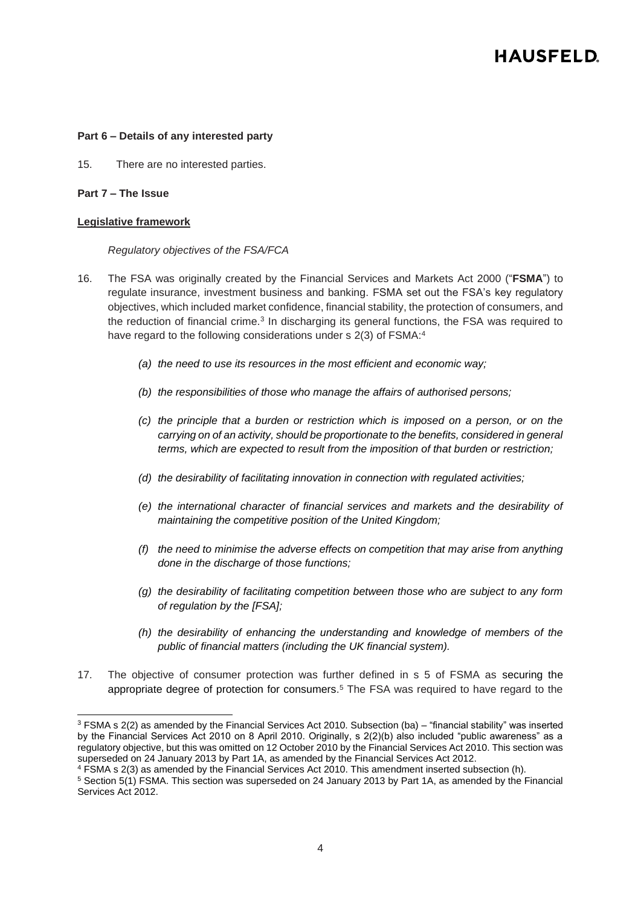#### **Part 6 – Details of any interested party**

15. There are no interested parties.

### **Part 7 – The Issue**

#### **Legislative framework**

#### *Regulatory objectives of the FSA/FCA*

- 16. The FSA was originally created by the Financial Services and Markets Act 2000 ("**FSMA**") to regulate insurance, investment business and banking. FSMA set out the FSA's key regulatory objectives, which included market confidence, financial stability, the protection of consumers, and the reduction of financial crime.<sup>3</sup> In discharging its general functions, the FSA was required to have regard to the following considerations under s 2(3) of FSMA:<sup>4</sup>
	- *(a) the need to use its resources in the most efficient and economic way;*
	- *(b) the responsibilities of those who manage the affairs of authorised persons;*
	- *(c) the principle that a burden or restriction which is imposed on a person, or on the carrying on of an activity, should be proportionate to the benefits, considered in general terms, which are expected to result from the imposition of that burden or restriction;*
	- *(d) the desirability of facilitating innovation in connection with regulated activities;*
	- *(e) the international character of financial services and markets and the desirability of maintaining the competitive position of the United Kingdom;*
	- *(f) the need to minimise the adverse effects on competition that may arise from anything done in the discharge of those functions;*
	- *(g) the desirability of facilitating competition between those who are subject to any form of regulation by the [FSA];*
	- *(h) the desirability of enhancing the understanding and knowledge of members of the public of financial matters (including the UK financial system).*
- 17. The objective of consumer protection was further defined in s 5 of FSMA as securing the appropriate degree of protection for consumers. <sup>5</sup> The FSA was required to have regard to the

 $3$  FSMA s 2(2) as amended by the Financial Services Act 2010. Subsection (ba) – "financial stability" was inserted by the Financial Services Act 2010 on 8 April 2010. Originally, s 2(2)(b) also included "public awareness" as a regulatory objective, but this was omitted on 12 October 2010 by the Financial Services Act 2010. This section was superseded on 24 January 2013 by Part 1A, as amended by the Financial Services Act 2012.

<sup>4</sup> FSMA s 2(3) as amended by the Financial Services Act 2010. This amendment inserted subsection (h).

<sup>5</sup> Section 5(1) FSMA. This section was superseded on 24 January 2013 by Part 1A, as amended by the Financial Services Act 2012.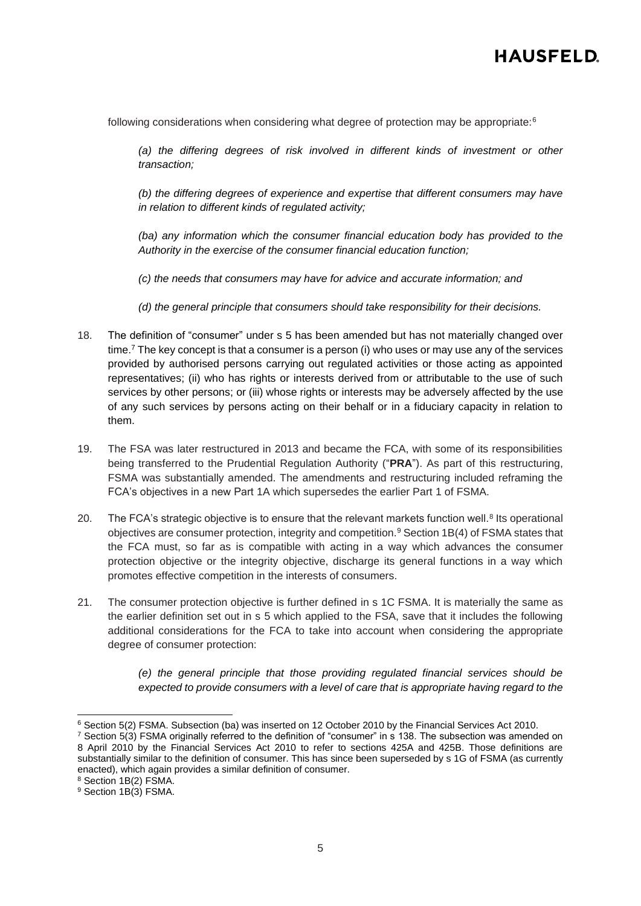following considerations when considering what degree of protection may be appropriate:<sup>6</sup>

*(a) the differing degrees of risk involved in different kinds of investment or other transaction;*

*(b) the differing degrees of experience and expertise that different consumers may have in relation to different kinds of regulated activity;*

*(ba) any information which the consumer financial education body has provided to the Authority in the exercise of the consumer financial education function;*

*(c) the needs that consumers may have for advice and accurate information; and*

*(d) the general principle that consumers should take responsibility for their decisions.*

- 18. The definition of "consumer" under s 5 has been amended but has not materially changed over time.<sup>7</sup> The key concept is that a consumer is a person (i) who uses or may use any of the services provided by authorised persons carrying out regulated activities or those acting as appointed representatives; (ii) who has rights or interests derived from or attributable to the use of such services by other persons; or (iii) whose rights or interests may be adversely affected by the use of any such services by persons acting on their behalf or in a fiduciary capacity in relation to them.
- 19. The FSA was later restructured in 2013 and became the FCA, with some of its responsibilities being transferred to the Prudential Regulation Authority ("**PRA**"). As part of this restructuring, FSMA was substantially amended. The amendments and restructuring included reframing the FCA's objectives in a new Part 1A which supersedes the earlier Part 1 of FSMA.
- 20. The FCA's strategic objective is to ensure that the relevant markets function well.<sup>8</sup> Its operational objectives are consumer protection, integrity and competition.<sup>9</sup> Section 1B(4) of FSMA states that the FCA must, so far as is compatible with acting in a way which advances the consumer protection objective or the integrity objective, discharge its general functions in a way which promotes effective competition in the interests of consumers.
- 21. The consumer protection objective is further defined in s 1C FSMA. It is materially the same as the earlier definition set out in s 5 which applied to the FSA, save that it includes the following additional considerations for the FCA to take into account when considering the appropriate degree of consumer protection:

*(e) the general principle that those providing regulated financial services should be expected to provide consumers with a level of care that is appropriate having regard to the* 

<sup>6</sup> Section 5(2) FSMA. Subsection (ba) was inserted on 12 October 2010 by the Financial Services Act 2010.

<sup>7</sup> Section 5(3) FSMA originally referred to the definition of "consumer" in s 138. The subsection was amended on 8 April 2010 by the Financial Services Act 2010 to refer to sections 425A and 425B. Those definitions are substantially similar to the definition of consumer. This has since been superseded by s 1G of FSMA (as currently enacted), which again provides a similar definition of consumer.

<sup>&</sup>lt;sup>8</sup> Section 1B(2) FSMA.

<sup>9</sup> Section 1B(3) FSMA.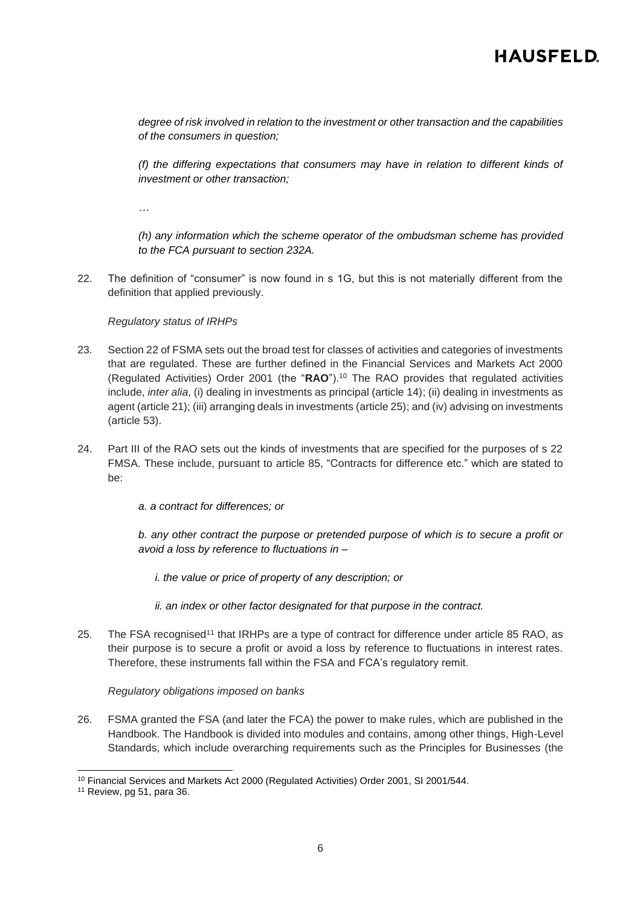*degree of risk involved in relation to the investment or other transaction and the capabilities of the consumers in question;*

*(f) the differing expectations that consumers may have in relation to different kinds of investment or other transaction;* 

*…*

*(h) any information which the scheme operator of the ombudsman scheme has provided to the FCA pursuant to section 232A.*

22. The definition of "consumer" is now found in s 1G, but this is not materially different from the definition that applied previously.

*Regulatory status of IRHPs*

- 23. Section 22 of FSMA sets out the broad test for classes of activities and categories of investments that are regulated. These are further defined in the Financial Services and Markets Act 2000 (Regulated Activities) Order 2001 (the "**RAO**"). <sup>10</sup> The RAO provides that regulated activities include, *inter alia*, (i) dealing in investments as principal (article 14); (ii) dealing in investments as agent (article 21); (iii) arranging deals in investments (article 25); and (iv) advising on investments (article 53).
- 24. Part III of the RAO sets out the kinds of investments that are specified for the purposes of s 22 FMSA. These include, pursuant to article 85, "Contracts for difference etc." which are stated to be:
	- *a. a contract for differences; or*

*b. any other contract the purpose or pretended purpose of which is to secure a profit or avoid a loss by reference to fluctuations in –*

*i. the value or price of property of any description; or*

*ii. an index or other factor designated for that purpose in the contract.*

25. The FSA recognised<sup>11</sup> that IRHPs are a type of contract for difference under article 85 RAO, as their purpose is to secure a profit or avoid a loss by reference to fluctuations in interest rates. Therefore, these instruments fall within the FSA and FCA's regulatory remit.

*Regulatory obligations imposed on banks*

26. FSMA granted the FSA (and later the FCA) the power to make rules, which are published in the Handbook. The Handbook is divided into modules and contains, among other things, High-Level Standards, which include overarching requirements such as the Principles for Businesses (the

<sup>&</sup>lt;sup>10</sup> Financial Services and Markets Act 2000 (Regulated Activities) Order 2001, SI 2001/544.

<sup>&</sup>lt;sup>11</sup> Review, pg 51, para 36.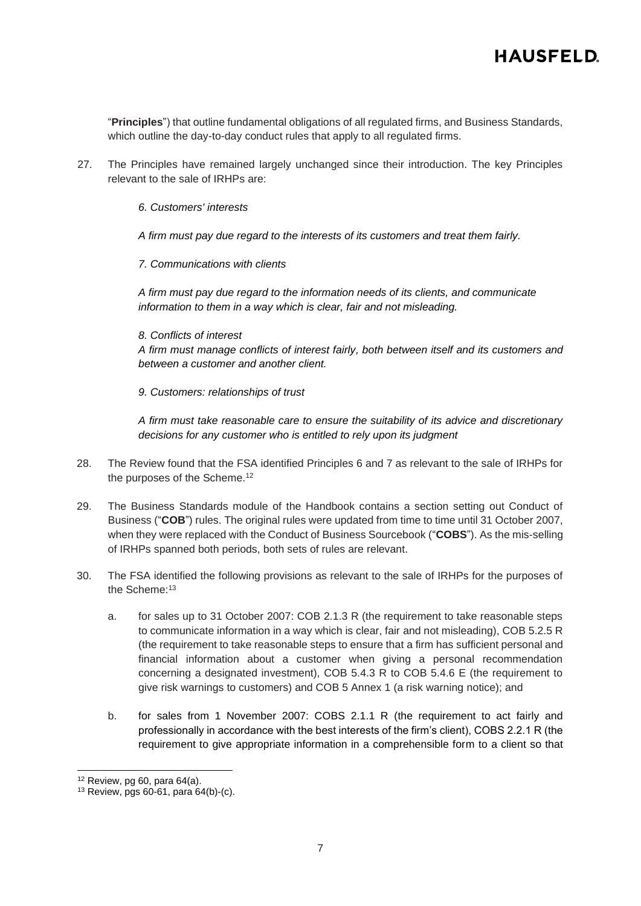"**Principles**") that outline fundamental obligations of all regulated firms, and Business Standards, which outline the day-to-day conduct rules that apply to all regulated firms.

- 27. The Principles have remained largely unchanged since their introduction. The key Principles relevant to the sale of IRHPs are:
	- *6. Customers' interests*
	- *A firm must pay due regard to the interests of its customers and treat them fairly.*
	- *7. Communications with clients*

*A firm must pay due regard to the information needs of its clients, and communicate information to them in a way which is clear, fair and not misleading.*

*8. Conflicts of interest*

*A firm must manage conflicts of interest fairly, both between itself and its customers and between a customer and another client.*

*9. Customers: relationships of trust*

*A firm must take reasonable care to ensure the suitability of its advice and discretionary decisions for any customer who is entitled to rely upon its judgment*

- 28. The Review found that the FSA identified Principles 6 and 7 as relevant to the sale of IRHPs for the purposes of the Scheme.<sup>12</sup>
- 29. The Business Standards module of the Handbook contains a section setting out Conduct of Business ("**COB**") rules. The original rules were updated from time to time until 31 October 2007, when they were replaced with the Conduct of Business Sourcebook ("**COBS**"). As the mis-selling of IRHPs spanned both periods, both sets of rules are relevant.
- 30. The FSA identified the following provisions as relevant to the sale of IRHPs for the purposes of the Scheme:<sup>13</sup>
	- a. for sales up to 31 October 2007: COB 2.1.3 R (the requirement to take reasonable steps to communicate information in a way which is clear, fair and not misleading), COB 5.2.5 R (the requirement to take reasonable steps to ensure that a firm has sufficient personal and financial information about a customer when giving a personal recommendation concerning a designated investment), COB 5.4.3 R to COB 5.4.6 E (the requirement to give risk warnings to customers) and COB 5 Annex 1 (a risk warning notice); and
	- b. for sales from 1 November 2007: COBS 2.1.1 R (the requirement to act fairly and professionally in accordance with the best interests of the firm's client), COBS 2.2.1 R (the requirement to give appropriate information in a comprehensible form to a client so that

 $12$  Review, pg 60, para 64(a).

<sup>13</sup> Review, pgs 60-61, para 64(b)-(c).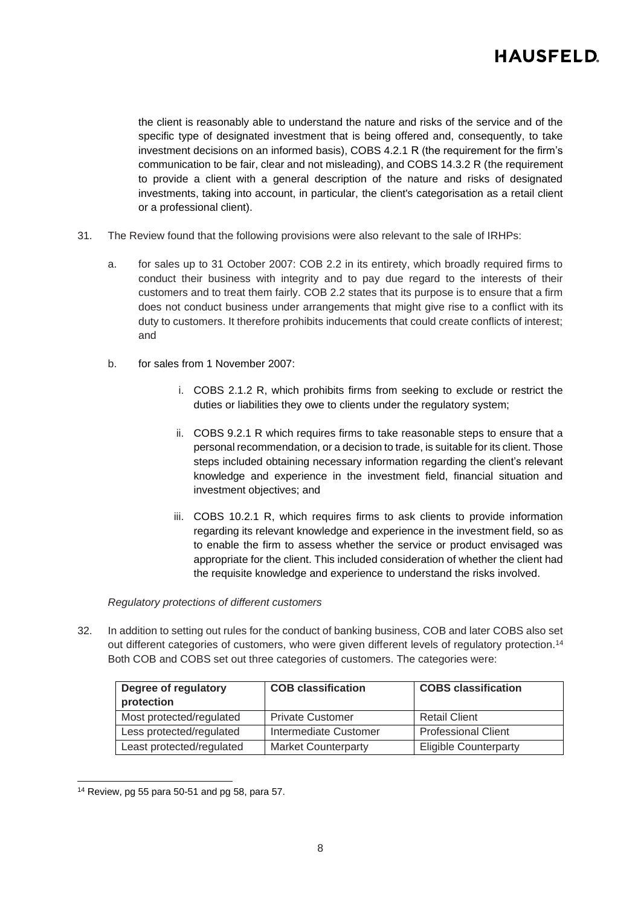the client is reasonably able to understand the nature and risks of the service and of the specific type of designated investment that is being offered and, consequently, to take investment decisions on an informed basis), COBS 4.2.1 R (the requirement for the firm's communication to be fair, clear and not misleading), and COBS 14.3.2 R (the requirement to provide a client with a general description of the nature and risks of designated investments, taking into account, in particular, the client's categorisation as a retail client or a professional client).

- 31. The Review found that the following provisions were also relevant to the sale of IRHPs:
	- a. for sales up to 31 October 2007: COB 2.2 in its entirety, which broadly required firms to conduct their business with integrity and to pay due regard to the interests of their customers and to treat them fairly. COB 2.2 states that its purpose is to ensure that a firm does not conduct business under arrangements that might give rise to a conflict with its duty to customers. It therefore prohibits inducements that could create conflicts of interest; and
	- b. for sales from 1 November 2007:
		- i. COBS 2.1.2 R, which prohibits firms from seeking to exclude or restrict the duties or liabilities they owe to clients under the regulatory system;
		- ii. COBS 9.2.1 R which requires firms to take reasonable steps to ensure that a personal recommendation, or a decision to trade, is suitable for its client. Those steps included obtaining necessary information regarding the client's relevant knowledge and experience in the investment field, financial situation and investment objectives; and
		- iii. COBS 10.2.1 R, which requires firms to ask clients to provide information regarding its relevant knowledge and experience in the investment field, so as to enable the firm to assess whether the service or product envisaged was appropriate for the client. This included consideration of whether the client had the requisite knowledge and experience to understand the risks involved.

#### *Regulatory protections of different customers*

32. In addition to setting out rules for the conduct of banking business, COB and later COBS also set out different categories of customers, who were given different levels of regulatory protection.<sup>14</sup> Both COB and COBS set out three categories of customers. The categories were:

| Degree of regulatory<br>protection | <b>COB classification</b>  | <b>COBS classification</b>   |
|------------------------------------|----------------------------|------------------------------|
| Most protected/regulated           | <b>Private Customer</b>    | <b>Retail Client</b>         |
| Less protected/regulated           | Intermediate Customer      | Professional Client          |
| Least protected/regulated          | <b>Market Counterparty</b> | <b>Eligible Counterparty</b> |

 $14$  Review, pg 55 para 50-51 and pg 58, para 57.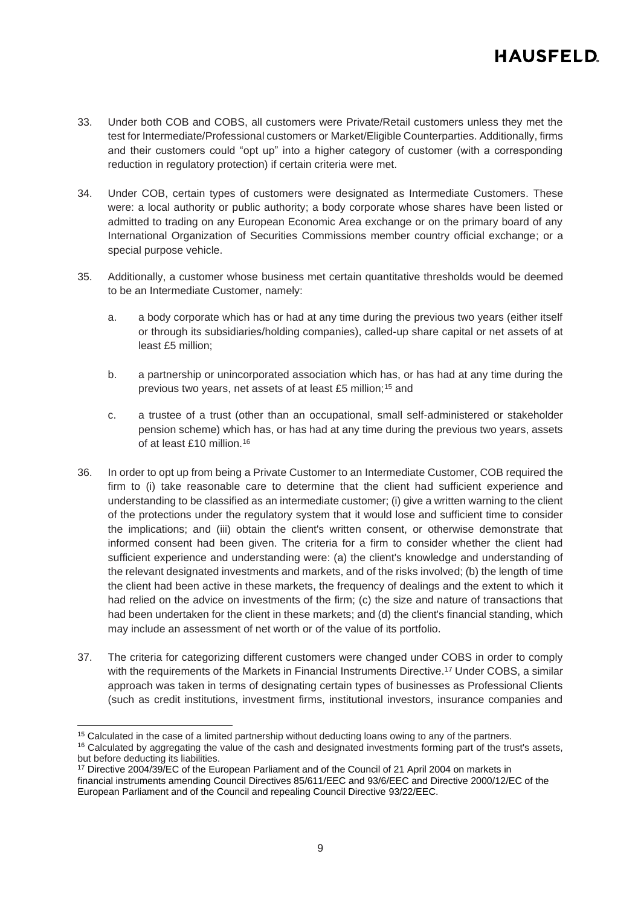- 33. Under both COB and COBS, all customers were Private/Retail customers unless they met the test for Intermediate/Professional customers or Market/Eligible Counterparties. Additionally, firms and their customers could "opt up" into a higher category of customer (with a corresponding reduction in regulatory protection) if certain criteria were met.
- 34. Under COB, certain types of customers were designated as Intermediate Customers. These were: a local authority or public authority; a body corporate whose shares have been listed or admitted to trading on any European Economic Area exchange or on the primary board of any International Organization of Securities Commissions member country official exchange; or a special purpose vehicle.
- 35. Additionally, a customer whose business met certain quantitative thresholds would be deemed to be an Intermediate Customer, namely:
	- a. a body corporate which has or had at any time during the previous two years (either itself or through its subsidiaries/holding companies), called-up share capital or net assets of at least £5 million;
	- b. a partnership or unincorporated association which has, or has had at any time during the previous two years, net assets of at least £5 million;<sup>15</sup> and
	- c. a trustee of a trust (other than an occupational, small self-administered or stakeholder pension scheme) which has, or has had at any time during the previous two years, assets of at least £10 million.<sup>16</sup>
- <span id="page-8-0"></span>36. In order to opt up from being a Private Customer to an Intermediate Customer, COB required the firm to (i) take reasonable care to determine that the client had sufficient experience and understanding to be classified as an intermediate customer; (i) give a written warning to the client of the protections under the regulatory system that it would lose and sufficient time to consider the implications; and (iii) obtain the client's written consent, or otherwise demonstrate that informed consent had been given. The criteria for a firm to consider whether the client had sufficient experience and understanding were: (a) the client's knowledge and understanding of the relevant designated investments and markets, and of the risks involved; (b) the length of time the client had been active in these markets, the frequency of dealings and the extent to which it had relied on the advice on investments of the firm; (c) the size and nature of transactions that had been undertaken for the client in these markets; and (d) the client's financial standing, which may include an assessment of net worth or of the value of its portfolio.
- 37. The criteria for categorizing different customers were changed under COBS in order to comply with the requirements of the Markets in Financial Instruments Directive.<sup>17</sup> Under COBS, a similar approach was taken in terms of designating certain types of businesses as Professional Clients (such as credit institutions, investment firms, institutional investors, insurance companies and

<sup>&</sup>lt;sup>15</sup> Calculated in the case of a limited partnership without deducting loans owing to any of the partners.

<sup>&</sup>lt;sup>16</sup> Calculated by aggregating the value of the cash and designated investments forming part of the trust's assets, but before deducting its liabilities.

<sup>&</sup>lt;sup>17</sup> Directive 2004/39/EC of the European Parliament and of the Council of 21 April 2004 on markets in financial instruments amending Council Directives 85/611/EEC and 93/6/EEC and Directive 2000/12/EC of the European Parliament and of the Council and repealing Council Directive 93/22/EEC.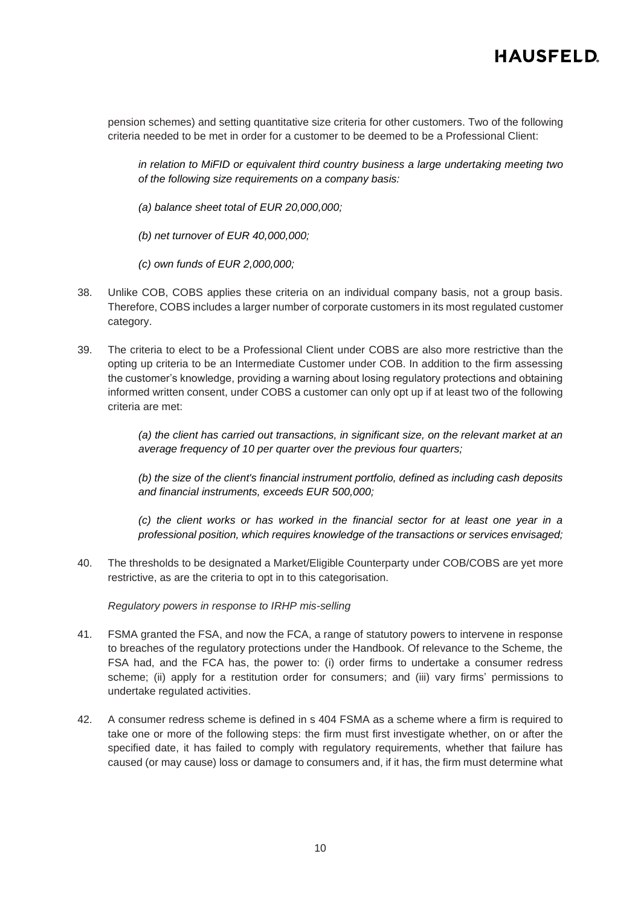pension schemes) and setting quantitative size criteria for other customers. Two of the following criteria needed to be met in order for a customer to be deemed to be a Professional Client:

*in relation to MiFID or equivalent third country business a large undertaking meeting two of the following size requirements on a company basis:*

- *(a) balance sheet total of EUR 20,000,000;*
- *(b) net turnover of EUR 40,000,000;*
- *(c) own funds of EUR 2,000,000;*
- 38. Unlike COB, COBS applies these criteria on an individual company basis, not a group basis. Therefore, COBS includes a larger number of corporate customers in its most regulated customer category.
- <span id="page-9-0"></span>39. The criteria to elect to be a Professional Client under COBS are also more restrictive than the opting up criteria to be an Intermediate Customer under COB. In addition to the firm assessing the customer's knowledge, providing a warning about losing regulatory protections and obtaining informed written consent, under COBS a customer can only opt up if at least two of the following criteria are met:

*(a) the client has carried out transactions, in significant size, on the relevant market at an average frequency of 10 per quarter over the previous four quarters;*

*(b) the size of the client's financial instrument portfolio, defined as including cash deposits and financial instruments, exceeds EUR 500,000;* 

*(c) the client works or has worked in the financial sector for at least one year in a professional position, which requires knowledge of the transactions or services envisaged;*

40. The thresholds to be designated a Market/Eligible Counterparty under COB/COBS are yet more restrictive, as are the criteria to opt in to this categorisation.

*Regulatory powers in response to IRHP mis-selling*

- 41. FSMA granted the FSA, and now the FCA, a range of statutory powers to intervene in response to breaches of the regulatory protections under the Handbook. Of relevance to the Scheme, the FSA had, and the FCA has, the power to: (i) order firms to undertake a consumer redress scheme; (ii) apply for a restitution order for consumers; and (iii) vary firms' permissions to undertake regulated activities.
- 42. A consumer redress scheme is defined in s 404 FSMA as a scheme where a firm is required to take one or more of the following steps: the firm must first investigate whether, on or after the specified date, it has failed to comply with regulatory requirements, whether that failure has caused (or may cause) loss or damage to consumers and, if it has, the firm must determine what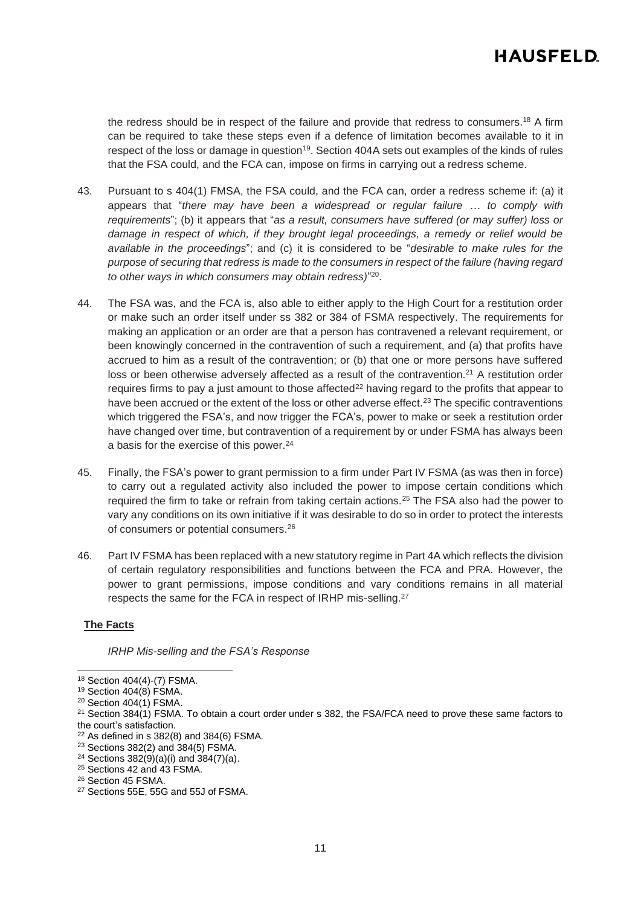the redress should be in respect of the failure and provide that redress to consumers.<sup>18</sup> A firm can be required to take these steps even if a defence of limitation becomes available to it in respect of the loss or damage in question<sup>19</sup>. Section 404A sets out examples of the kinds of rules that the FSA could, and the FCA can, impose on firms in carrying out a redress scheme.

- 43. Pursuant to s 404(1) FMSA, the FSA could, and the FCA can, order a redress scheme if: (a) it appears that "*there may have been a widespread or regular failure … to comply with requirements*"; (b) it appears that "*as a result, consumers have suffered (or may suffer) loss or damage in respect of which, if they brought legal proceedings, a remedy or relief would be available in the proceedings*"; and (c) it is considered to be "*desirable to make rules for the purpose of securing that redress is made to the consumers in respect of the failure (having regard to other ways in which consumers may obtain redress)*" 20 .
- 44. The FSA was, and the FCA is, also able to either apply to the High Court for a restitution order or make such an order itself under ss 382 or 384 of FSMA respectively. The requirements for making an application or an order are that a person has contravened a relevant requirement, or been knowingly concerned in the contravention of such a requirement, and (a) that profits have accrued to him as a result of the contravention; or (b) that one or more persons have suffered loss or been otherwise adversely affected as a result of the contravention.<sup>21</sup> A restitution order requires firms to pay a just amount to those affected<sup>22</sup> having regard to the profits that appear to have been accrued or the extent of the loss or other adverse effect.<sup>23</sup> The specific contraventions which triggered the FSA's, and now trigger the FCA's, power to make or seek a restitution order have changed over time, but contravention of a requirement by or under FSMA has always been a basis for the exercise of this power.<sup>24</sup>
- 45. Finally, the FSA's power to grant permission to a firm under Part IV FSMA (as was then in force) to carry out a regulated activity also included the power to impose certain conditions which required the firm to take or refrain from taking certain actions.<sup>25</sup> The FSA also had the power to vary any conditions on its own initiative if it was desirable to do so in order to protect the interests of consumers or potential consumers.<sup>26</sup>
- 46. Part IV FSMA has been replaced with a new statutory regime in Part 4A which reflects the division of certain regulatory responsibilities and functions between the FCA and PRA. However, the power to grant permissions, impose conditions and vary conditions remains in all material respects the same for the FCA in respect of IRHP mis-selling.<sup>27</sup>

### **The Facts**

*IRHP Mis-selling and the FSA's Response*

<sup>18</sup> Section 404(4)-(7) FSMA.

<sup>19</sup> Section 404(8) FSMA.

 $20$  Section 404(1) FSMA.

 $21$  Section 384(1) FSMA. To obtain a court order under s 382, the FSA/FCA need to prove these same factors to the court's satisfaction.

 $22$  As defined in s 382(8) and 384(6) FSMA.

<sup>23</sup> Sections 382(2) and 384(5) FSMA.

<sup>&</sup>lt;sup>24</sup> Sections  $382(9)(a)(i)$  and  $384(7)(a)$ .

<sup>25</sup> Sections 42 and 43 FSMA.

<sup>&</sup>lt;sup>26</sup> Section 45 FSMA.

<sup>27</sup> Sections 55E, 55G and 55J of FSMA.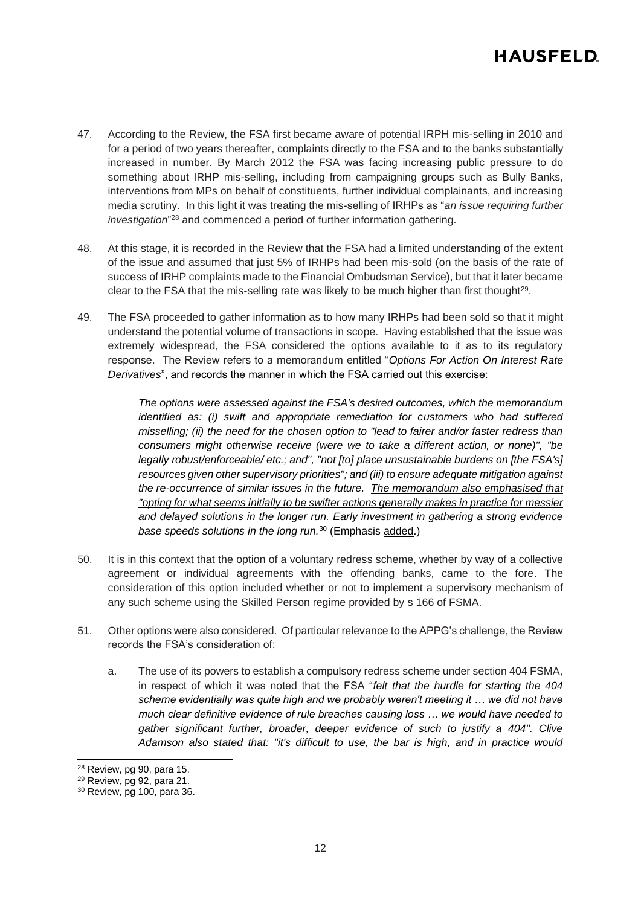- 47. According to the Review, the FSA first became aware of potential IRPH mis-selling in 2010 and for a period of two years thereafter, complaints directly to the FSA and to the banks substantially increased in number. By March 2012 the FSA was facing increasing public pressure to do something about IRHP mis-selling, including from campaigning groups such as Bully Banks, interventions from MPs on behalf of constituents, further individual complainants, and increasing media scrutiny. In this light it was treating the mis-selling of IRHPs as "*an issue requiring further investigation*" <sup>28</sup> and commenced a period of further information gathering.
- 48. At this stage, it is recorded in the Review that the FSA had a limited understanding of the extent of the issue and assumed that just 5% of IRHPs had been mis-sold (on the basis of the rate of success of IRHP complaints made to the Financial Ombudsman Service), but that it later became clear to the FSA that the mis-selling rate was likely to be much higher than first thought<sup>29</sup>.
- 49. The FSA proceeded to gather information as to how many IRHPs had been sold so that it might understand the potential volume of transactions in scope. Having established that the issue was extremely widespread, the FSA considered the options available to it as to its regulatory response. The Review refers to a memorandum entitled "*Options For Action On Interest Rate Derivatives*", and records the manner in which the FSA carried out this exercise:

*The options were assessed against the FSA's desired outcomes, which the memorandum identified as: (i)* swift and appropriate remediation for customers who had suffered *misselling; (ii) the need for the chosen option to "lead to fairer and/or faster redress than consumers might otherwise receive (were we to take a different action, or none)", "be legally robust/enforceable/ etc.; and", "not [to] place unsustainable burdens on [the FSA's] resources given other supervisory priorities"; and (iii) to ensure adequate mitigation against the re-occurrence of similar issues in the future. The memorandum also emphasised that "opting for what seems initially to be swifter actions generally makes in practice for messier and delayed solutions in the longer run. Early investment in gathering a strong evidence base speeds solutions in the long run.*<sup>30</sup> (Emphasis added.)

- 50. It is in this context that the option of a voluntary redress scheme, whether by way of a collective agreement or individual agreements with the offending banks, came to the fore. The consideration of this option included whether or not to implement a supervisory mechanism of any such scheme using the Skilled Person regime provided by s 166 of FSMA.
- <span id="page-11-0"></span>51. Other options were also considered. Of particular relevance to the APPG's challenge, the Review records the FSA's consideration of:
	- a. The use of its powers to establish a compulsory redress scheme under section 404 FSMA, in respect of which it was noted that the FSA "*felt that the hurdle for starting the 404 scheme evidentially was quite high and we probably weren't meeting it … we did not have much clear definitive evidence of rule breaches causing loss … we would have needed to gather significant further, broader, deeper evidence of such to justify a 404". Clive Adamson also stated that: "it's difficult to use, the bar is high, and in practice would*

<sup>28</sup> Review, pg 90, para 15.

<sup>29</sup> Review, pg 92, para 21.

<sup>30</sup> Review, pg 100, para 36.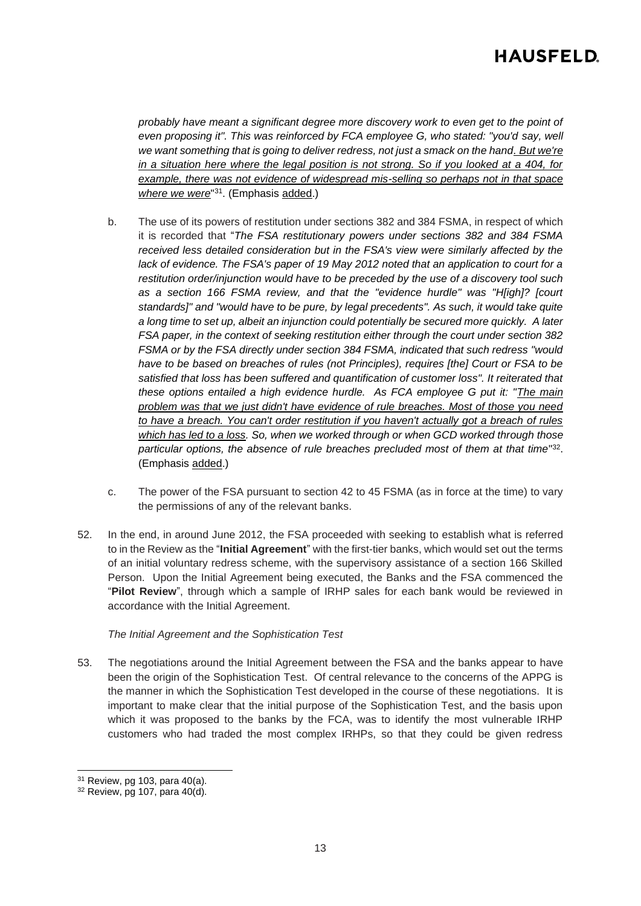*probably have meant a significant degree more discovery work to even get to the point of even proposing it". This was reinforced by FCA employee G, who stated: "you'd say, well we want something that is going to deliver redress, not just a smack on the hand. But we're in a situation here where the legal position is not strong. So if you looked at a 404, for example, there was not evidence of widespread mis-selling so perhaps not in that space where we were*" 31 . (Emphasis added.)

- b. The use of its powers of restitution under sections 382 and 384 FSMA, in respect of which it is recorded that "*The FSA restitutionary powers under sections 382 and 384 FSMA received less detailed consideration but in the FSA's view were similarly affected by the lack of evidence. The FSA's paper of 19 May 2012 noted that an application to court for a restitution order/injunction would have to be preceded by the use of a discovery tool such as a section 166 FSMA review, and that the "evidence hurdle" was "H[igh]? [court standards]" and "would have to be pure, by legal precedents". As such, it would take quite a long time to set up, albeit an injunction could potentially be secured more quickly. A later FSA paper, in the context of seeking restitution either through the court under section 382 FSMA or by the FSA directly under section 384 FSMA, indicated that such redress "would have to be based on breaches of rules (not Principles), requires [the] Court or FSA to be satisfied that loss has been suffered and quantification of customer loss". It reiterated that these options entailed a high evidence hurdle. As FCA employee G put it: "The main problem was that we just didn't have evidence of rule breaches. Most of those you need to have a breach. You can't order restitution if you haven't actually got a breach of rules which has led to a loss. So, when we worked through or when GCD worked through those*  particular options, the absence of rule breaches precluded most of them at that time"<sup>32</sup>. (Emphasis added.)
- c. The power of the FSA pursuant to section 42 to 45 FSMA (as in force at the time) to vary the permissions of any of the relevant banks.
- 52. In the end, in around June 2012, the FSA proceeded with seeking to establish what is referred to in the Review as the "**Initial Agreement**" with the first-tier banks, which would set out the terms of an initial voluntary redress scheme, with the supervisory assistance of a section 166 Skilled Person. Upon the Initial Agreement being executed, the Banks and the FSA commenced the "**Pilot Review**", through which a sample of IRHP sales for each bank would be reviewed in accordance with the Initial Agreement.

### *The Initial Agreement and the Sophistication Test*

53. The negotiations around the Initial Agreement between the FSA and the banks appear to have been the origin of the Sophistication Test. Of central relevance to the concerns of the APPG is the manner in which the Sophistication Test developed in the course of these negotiations. It is important to make clear that the initial purpose of the Sophistication Test, and the basis upon which it was proposed to the banks by the FCA, was to identify the most vulnerable IRHP customers who had traded the most complex IRHPs, so that they could be given redress

 $31$  Review, pg 103, para 40(a).

<sup>32</sup> Review, pg 107, para 40(d).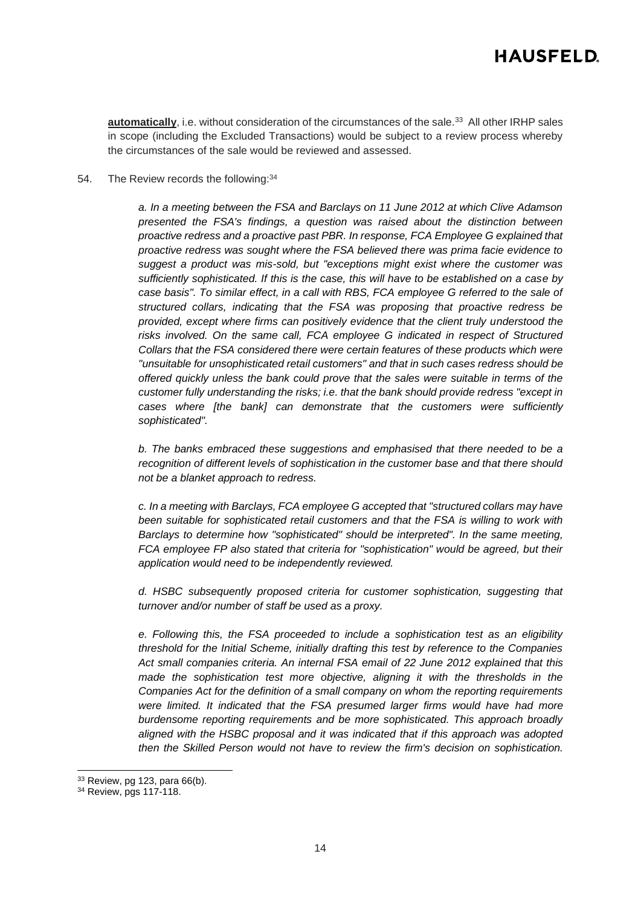**automatically**, i.e. without consideration of the circumstances of the sale.<sup>33</sup> All other IRHP sales in scope (including the Excluded Transactions) would be subject to a review process whereby the circumstances of the sale would be reviewed and assessed.

54. The Review records the following:<sup>34</sup>

*a. In a meeting between the FSA and Barclays on 11 June 2012 at which Clive Adamson presented the FSA's findings, a question was raised about the distinction between proactive redress and a proactive past PBR. In response, FCA Employee G explained that proactive redress was sought where the FSA believed there was prima facie evidence to suggest a product was mis-sold, but "exceptions might exist where the customer was sufficiently sophisticated. If this is the case, this will have to be established on a case by case basis". To similar effect, in a call with RBS, FCA employee G referred to the sale of structured collars, indicating that the FSA was proposing that proactive redress be provided, except where firms can positively evidence that the client truly understood the*  risks involved. On the same call, FCA employee G indicated in respect of Structured *Collars that the FSA considered there were certain features of these products which were "unsuitable for unsophisticated retail customers" and that in such cases redress should be offered quickly unless the bank could prove that the sales were suitable in terms of the customer fully understanding the risks; i.e. that the bank should provide redress "except in cases where [the bank] can demonstrate that the customers were sufficiently sophisticated".*

*b. The banks embraced these suggestions and emphasised that there needed to be a recognition of different levels of sophistication in the customer base and that there should not be a blanket approach to redress.*

*c. In a meeting with Barclays, FCA employee G accepted that "structured collars may have been suitable for sophisticated retail customers and that the FSA is willing to work with Barclays to determine how "sophisticated" should be interpreted". In the same meeting, FCA employee FP also stated that criteria for "sophistication" would be agreed, but their application would need to be independently reviewed.* 

*d. HSBC subsequently proposed criteria for customer sophistication, suggesting that turnover and/or number of staff be used as a proxy.*

*e. Following this, the FSA proceeded to include a sophistication test as an eligibility threshold for the Initial Scheme, initially drafting this test by reference to the Companies Act small companies criteria. An internal FSA email of 22 June 2012 explained that this made the sophistication test more objective, aligning it with the thresholds in the Companies Act for the definition of a small company on whom the reporting requirements were limited. It indicated that the FSA presumed larger firms would have had more burdensome reporting requirements and be more sophisticated. This approach broadly aligned with the HSBC proposal and it was indicated that if this approach was adopted then the Skilled Person would not have to review the firm's decision on sophistication.* 

<sup>33</sup> Review, pg 123, para 66(b).

<sup>34</sup> Review, pgs 117-118.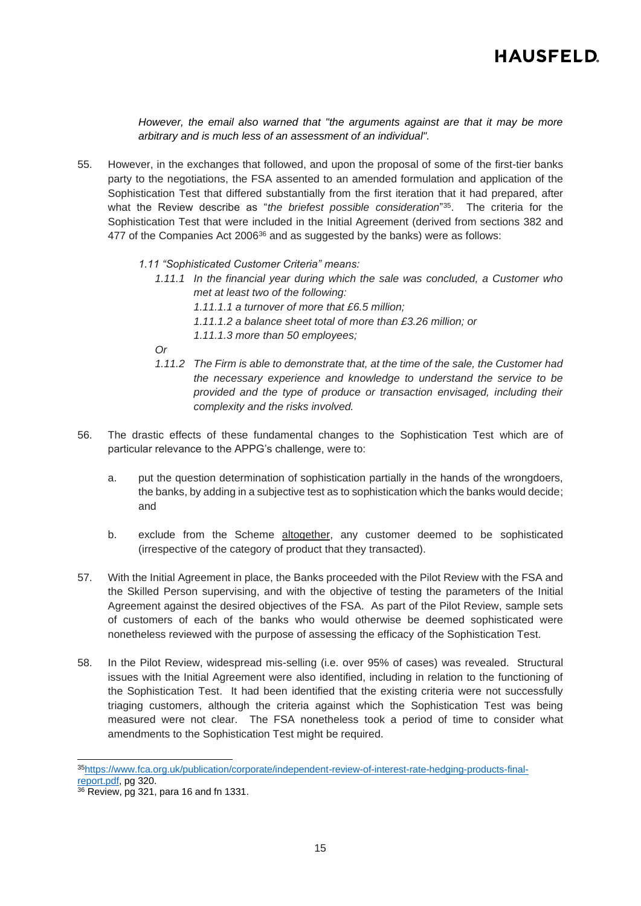*However, the email also warned that "the arguments against are that it may be more arbitrary and is much less of an assessment of an individual".*

- 55. However, in the exchanges that followed, and upon the proposal of some of the first-tier banks party to the negotiations, the FSA assented to an amended formulation and application of the Sophistication Test that differed substantially from the first iteration that it had prepared, after what the Review describe as "*the briefest possible consideration*" 35 . The criteria for the Sophistication Test that were included in the Initial Agreement (derived from sections 382 and 477 of the Companies Act  $2006^{36}$  and as suggested by the banks) were as follows:
	- *1.11 "Sophisticated Customer Criteria" means:*
		- *1.11.1 In the financial year during which the sale was concluded, a Customer who met at least two of the following:*
			- *1.11.1.1 a turnover of more that £6.5 million;*
			- *1.11.1.2 a balance sheet total of more than £3.26 million; or*
			- *1.11.1.3 more than 50 employees;*
		- *Or*
		- *1.11.2 The Firm is able to demonstrate that, at the time of the sale, the Customer had the necessary experience and knowledge to understand the service to be provided and the type of produce or transaction envisaged, including their complexity and the risks involved.*
- 56. The drastic effects of these fundamental changes to the Sophistication Test which are of particular relevance to the APPG's challenge, were to:
	- a. put the question determination of sophistication partially in the hands of the wrongdoers, the banks, by adding in a subjective test as to sophistication which the banks would decide; and
	- b. exclude from the Scheme altogether, any customer deemed to be sophisticated (irrespective of the category of product that they transacted).
- 57. With the Initial Agreement in place, the Banks proceeded with the Pilot Review with the FSA and the Skilled Person supervising, and with the objective of testing the parameters of the Initial Agreement against the desired objectives of the FSA. As part of the Pilot Review, sample sets of customers of each of the banks who would otherwise be deemed sophisticated were nonetheless reviewed with the purpose of assessing the efficacy of the Sophistication Test.
- 58. In the Pilot Review, widespread mis-selling (i.e. over 95% of cases) was revealed. Structural issues with the Initial Agreement were also identified, including in relation to the functioning of the Sophistication Test. It had been identified that the existing criteria were not successfully triaging customers, although the criteria against which the Sophistication Test was being measured were not clear. The FSA nonetheless took a period of time to consider what amendments to the Sophistication Test might be required.

<sup>35</sup>[https://www.fca.org.uk/publication/corporate/independent-review-of-interest-rate-hedging-products-final](https://www.fca.org.uk/publication/corporate/independent-review-of-interest-rate-hedging-products-final-report.pdf)[report.pdf,](https://www.fca.org.uk/publication/corporate/independent-review-of-interest-rate-hedging-products-final-report.pdf) pg 320.

<sup>36</sup> Review, pg 321, para 16 and fn 1331.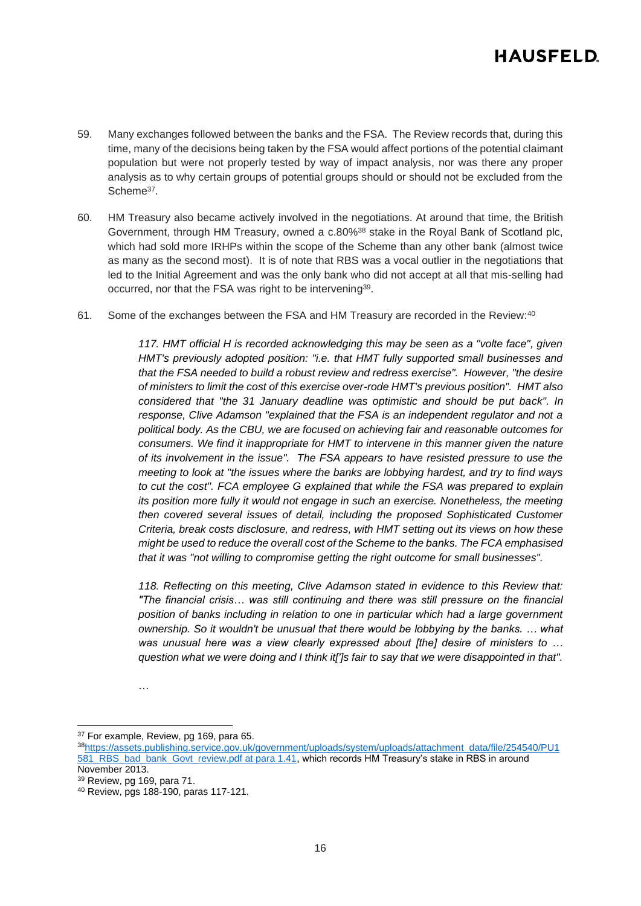- 59. Many exchanges followed between the banks and the FSA. The Review records that, during this time, many of the decisions being taken by the FSA would affect portions of the potential claimant population but were not properly tested by way of impact analysis, nor was there any proper analysis as to why certain groups of potential groups should or should not be excluded from the Scheme<sup>37</sup>.
- <span id="page-15-0"></span>60. HM Treasury also became actively involved in the negotiations. At around that time, the British Government, through HM Treasury, owned a c.80%<sup>38</sup> stake in the Royal Bank of Scotland plc, which had sold more IRHPs within the scope of the Scheme than any other bank (almost twice as many as the second most). It is of note that RBS was a vocal outlier in the negotiations that led to the Initial Agreement and was the only bank who did not accept at all that mis-selling had occurred, nor that the FSA was right to be intervening 39 .
- 61. Some of the exchanges between the FSA and HM Treasury are recorded in the Review:<sup>40</sup>

*117. HMT official H is recorded acknowledging this may be seen as a "volte face", given HMT's previously adopted position: "i.e. that HMT fully supported small businesses and that the FSA needed to build a robust review and redress exercise". However, "the desire of ministers to limit the cost of this exercise over-rode HMT's previous position". HMT also considered that "the 31 January deadline was optimistic and should be put back". In response, Clive Adamson "explained that the FSA is an independent regulator and not a political body. As the CBU, we are focused on achieving fair and reasonable outcomes for consumers. We find it inappropriate for HMT to intervene in this manner given the nature of its involvement in the issue". The FSA appears to have resisted pressure to use the meeting to look at "the issues where the banks are lobbying hardest, and try to find ways to cut the cost". FCA employee G explained that while the FSA was prepared to explain its position more fully it would not engage in such an exercise. Nonetheless, the meeting then covered several issues of detail, including the proposed Sophisticated Customer Criteria, break costs disclosure, and redress, with HMT setting out its views on how these might be used to reduce the overall cost of the Scheme to the banks. The FCA emphasised that it was "not willing to compromise getting the right outcome for small businesses".* 

*118. Reflecting on this meeting, Clive Adamson stated in evidence to this Review that: "The financial crisis… was still continuing and there was still pressure on the financial position of banks including in relation to one in particular which had a large government ownership. So it wouldn't be unusual that there would be lobbying by the banks. … what was unusual here was a view clearly expressed about [the] desire of ministers to … question what we were doing and I think it[']s fair to say that we were disappointed in that".*

…

<sup>37</sup> For example, Review, pg 169, para 65.

<sup>38</sup>[https://assets.publishing.service.gov.uk/government/uploads/system/uploads/attachment\\_data/file/254540/PU1](https://assets.publishing.service.gov.uk/government/uploads/system/uploads/attachment_data/file/254540/PU1581_RBS_bad_bank_Govt_review.pdf%20at%20para%201.41) [581\\_RBS\\_bad\\_bank\\_Govt\\_review.pdf at para 1.41,](https://assets.publishing.service.gov.uk/government/uploads/system/uploads/attachment_data/file/254540/PU1581_RBS_bad_bank_Govt_review.pdf%20at%20para%201.41) which records HM Treasury's stake in RBS in around November 2013.

<sup>39</sup> Review, pg 169, para 71.

<sup>40</sup> Review, pgs 188-190, paras 117-121.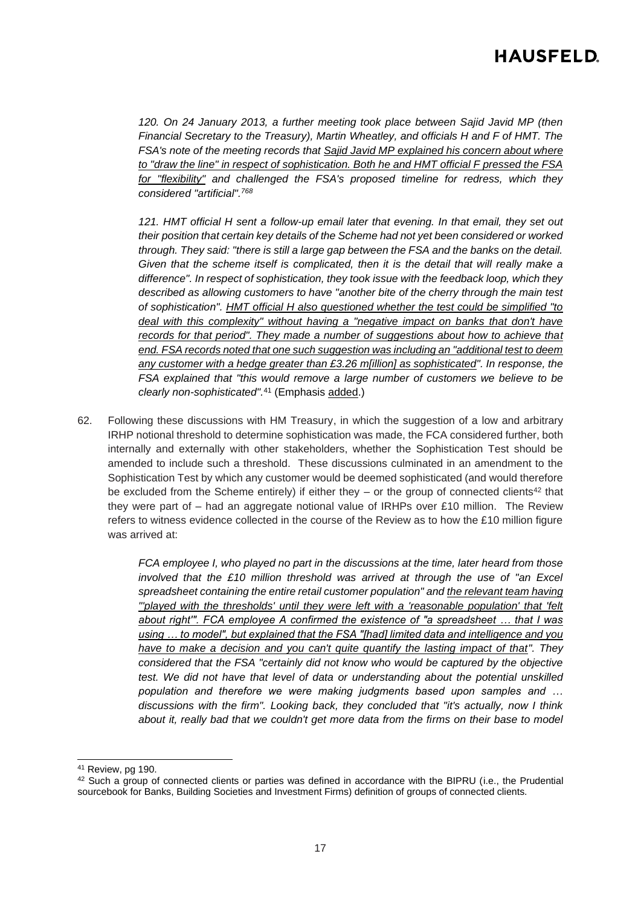*120. On 24 January 2013, a further meeting took place between Sajid Javid MP (then Financial Secretary to the Treasury), Martin Wheatley, and officials H and F of HMT. The FSA's note of the meeting records that Sajid Javid MP explained his concern about where to "draw the line" in respect of sophistication. Both he and HMT official F pressed the FSA for "flexibility" and challenged the FSA's proposed timeline for redress, which they considered "artificial".<sup>768</sup>*

*121. HMT official H sent a follow-up email later that evening. In that email, they set out their position that certain key details of the Scheme had not yet been considered or worked through. They said: "there is still a large gap between the FSA and the banks on the detail. Given that the scheme itself is complicated, then it is the detail that will really make a difference". In respect of sophistication, they took issue with the feedback loop, which they described as allowing customers to have "another bite of the cherry through the main test of sophistication". HMT official H also questioned whether the test could be simplified "to deal with this complexity" without having a "negative impact on banks that don't have records for that period". They made a number of suggestions about how to achieve that end. FSA records noted that one such suggestion was including an "additional test to deem any customer with a hedge greater than £3.26 m[illion] as sophisticated". In response, the FSA explained that "this would remove a large number of customers we believe to be clearly non-sophisticated".*<sup>41</sup> (Emphasis added.)

62. Following these discussions with HM Treasury, in which the suggestion of a low and arbitrary IRHP notional threshold to determine sophistication was made, the FCA considered further, both internally and externally with other stakeholders, whether the Sophistication Test should be amended to include such a threshold. These discussions culminated in an amendment to the Sophistication Test by which any customer would be deemed sophisticated (and would therefore be excluded from the Scheme entirely) if either they – or the group of connected clients<sup>42</sup> that they were part of – had an aggregate notional value of IRHPs over £10 million. The Review refers to witness evidence collected in the course of the Review as to how the £10 million figure was arrived at:

> *FCA employee I, who played no part in the discussions at the time, later heard from those involved that the £10 million threshold was arrived at through the use of "an Excel spreadsheet containing the entire retail customer population" and the relevant team having "'played with the thresholds' until they were left with a 'reasonable population' that 'felt about right'". FCA employee A confirmed the existence of "a spreadsheet … that I was using … to model", but explained that the FSA "[had] limited data and intelligence and you have to make a decision and you can't quite quantify the lasting impact of that". They considered that the FSA "certainly did not know who would be captured by the objective test. We did not have that level of data or understanding about the potential unskilled population and therefore we were making judgments based upon samples and … discussions with the firm". Looking back, they concluded that "it's actually, now I think*  about it, really bad that we couldn't get more data from the firms on their base to model

<sup>41</sup> Review, pg 190.

<sup>&</sup>lt;sup>42</sup> Such a group of connected clients or parties was defined in accordance with the BIPRU (i.e., the Prudential sourcebook for Banks, Building Societies and Investment Firms) definition of groups of connected clients.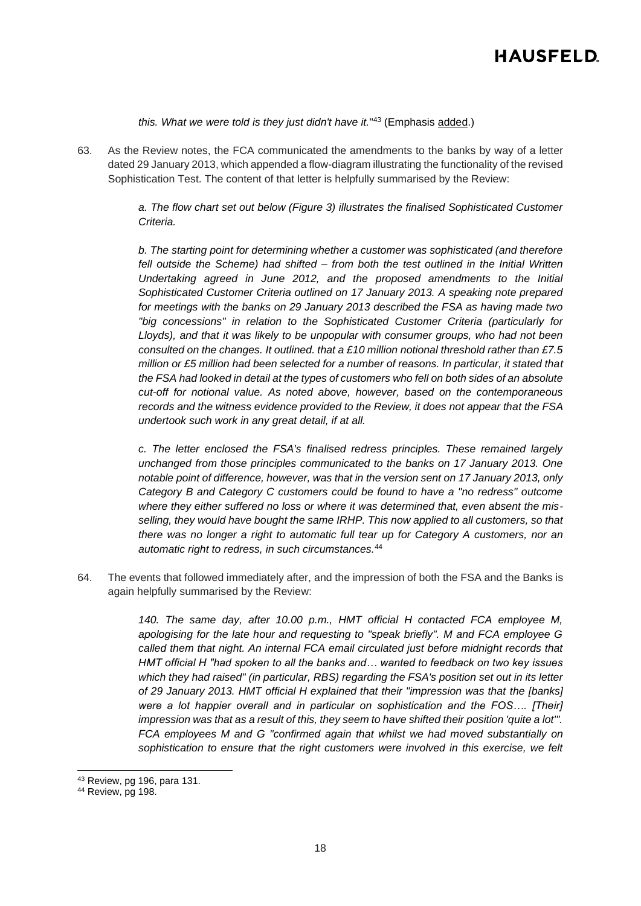*this. What we were told is they just didn't have it.*" <sup>43</sup> (Emphasis added.)

<span id="page-17-0"></span>63. As the Review notes, the FCA communicated the amendments to the banks by way of a letter dated 29 January 2013, which appended a flow-diagram illustrating the functionality of the revised Sophistication Test. The content of that letter is helpfully summarised by the Review:

> *a. The flow chart set out below (Figure 3) illustrates the finalised Sophisticated Customer Criteria.*

> *b. The starting point for determining whether a customer was sophisticated (and therefore fell outside the Scheme) had shifted – from both the test outlined in the Initial Written Undertaking agreed in June 2012, and the proposed amendments to the Initial Sophisticated Customer Criteria outlined on 17 January 2013. A speaking note prepared for meetings with the banks on 29 January 2013 described the FSA as having made two "big concessions" in relation to the Sophisticated Customer Criteria (particularly for Lloyds), and that it was likely to be unpopular with consumer groups, who had not been consulted on the changes. It outlined. that a £10 million notional threshold rather than £7.5 million or £5 million had been selected for a number of reasons. In particular, it stated that the FSA had looked in detail at the types of customers who fell on both sides of an absolute cut-off for notional value. As noted above, however, based on the contemporaneous records and the witness evidence provided to the Review, it does not appear that the FSA undertook such work in any great detail, if at all.*

> *c. The letter enclosed the FSA's finalised redress principles. These remained largely unchanged from those principles communicated to the banks on 17 January 2013. One notable point of difference, however, was that in the version sent on 17 January 2013, only Category B and Category C customers could be found to have a "no redress" outcome where they either suffered no loss or where it was determined that, even absent the misselling, they would have bought the same IRHP. This now applied to all customers, so that there was no longer a right to automatic full tear up for Category A customers, nor an automatic right to redress, in such circumstances.*<sup>44</sup>

64. The events that followed immediately after, and the impression of both the FSA and the Banks is again helpfully summarised by the Review:

> *140. The same day, after 10.00 p.m., HMT official H contacted FCA employee M, apologising for the late hour and requesting to "speak briefly". M and FCA employee G called them that night. An internal FCA email circulated just before midnight records that HMT official H "had spoken to all the banks and… wanted to feedback on two key issues which they had raised" (in particular, RBS) regarding the FSA's position set out in its letter of 29 January 2013. HMT official H explained that their "impression was that the [banks] were a lot happier overall and in particular on sophistication and the FOS…. [Their] impression was that as a result of this, they seem to have shifted their position 'quite a lot'". FCA employees M and G "confirmed again that whilst we had moved substantially on sophistication to ensure that the right customers were involved in this exercise, we felt*

<sup>43</sup> Review, pg 196, para 131.

<sup>&</sup>lt;sup>44</sup> Review, pg 198.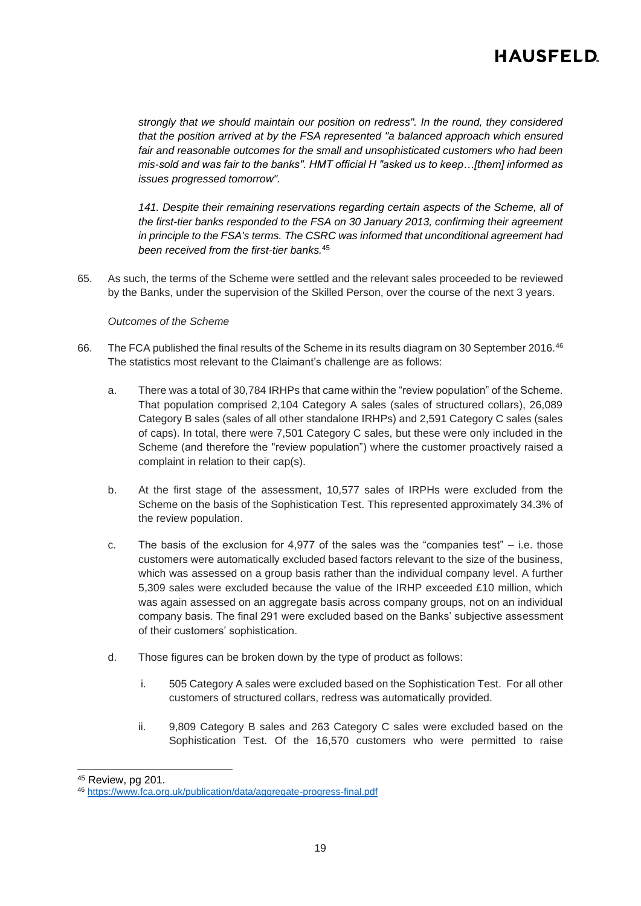*strongly that we should maintain our position on redress". In the round, they considered that the position arrived at by the FSA represented "a balanced approach which ensured fair and reasonable outcomes for the small and unsophisticated customers who had been mis-sold and was fair to the banks". HMT official H "asked us to keep…[them] informed as issues progressed tomorrow".* 

*141. Despite their remaining reservations regarding certain aspects of the Scheme, all of the first-tier banks responded to the FSA on 30 January 2013, confirming their agreement in principle to the FSA's terms. The CSRC was informed that unconditional agreement had been received from the first-tier banks.*<sup>45</sup>

65. As such, the terms of the Scheme were settled and the relevant sales proceeded to be reviewed by the Banks, under the supervision of the Skilled Person, over the course of the next 3 years.

### *Outcomes of the Scheme*

- 66. The FCA published the final results of the Scheme in its results diagram on 30 September 2016.<sup>46</sup> The statistics most relevant to the Claimant's challenge are as follows:
	- a. There was a total of 30,784 IRHPs that came within the "review population" of the Scheme. That population comprised 2,104 Category A sales (sales of structured collars), 26,089 Category B sales (sales of all other standalone IRHPs) and 2,591 Category C sales (sales of caps). In total, there were 7,501 Category C sales, but these were only included in the Scheme (and therefore the "review population") where the customer proactively raised a complaint in relation to their cap(s).
	- b. At the first stage of the assessment, 10,577 sales of IRPHs were excluded from the Scheme on the basis of the Sophistication Test. This represented approximately 34.3% of the review population.
	- c. The basis of the exclusion for 4,977 of the sales was the "companies test"  $-$  i.e. those customers were automatically excluded based factors relevant to the size of the business, which was assessed on a group basis rather than the individual company level. A further 5,309 sales were excluded because the value of the IRHP exceeded £10 million, which was again assessed on an aggregate basis across company groups, not on an individual company basis. The final 291 were excluded based on the Banks' subjective assessment of their customers' sophistication.
	- d. Those figures can be broken down by the type of product as follows:
		- i. 505 Category A sales were excluded based on the Sophistication Test. For all other customers of structured collars, redress was automatically provided.
		- ii. 9,809 Category B sales and 263 Category C sales were excluded based on the Sophistication Test. Of the 16,570 customers who were permitted to raise

<sup>45</sup> Review, pg 201.

<sup>46</sup> <https://www.fca.org.uk/publication/data/aggregate-progress-final.pdf>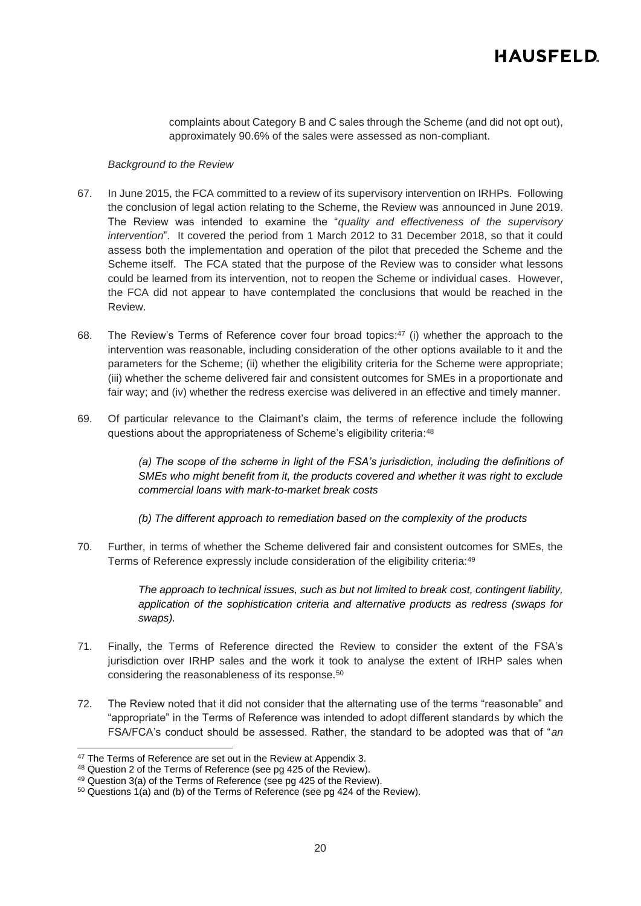complaints about Category B and C sales through the Scheme (and did not opt out), approximately 90.6% of the sales were assessed as non-compliant.

#### *Background to the Review*

- 67. In June 2015, the FCA committed to a review of its supervisory intervention on IRHPs. Following the conclusion of legal action relating to the Scheme, the Review was announced in June 2019. The Review was intended to examine the "*quality and effectiveness of the supervisory intervention*". It covered the period from 1 March 2012 to 31 December 2018, so that it could assess both the implementation and operation of the pilot that preceded the Scheme and the Scheme itself. The FCA stated that the purpose of the Review was to consider what lessons could be learned from its intervention, not to reopen the Scheme or individual cases. However, the FCA did not appear to have contemplated the conclusions that would be reached in the Review.
- 68. The Review's Terms of Reference cover four broad topics: $47$  (i) whether the approach to the intervention was reasonable, including consideration of the other options available to it and the parameters for the Scheme; (ii) whether the eligibility criteria for the Scheme were appropriate; (iii) whether the scheme delivered fair and consistent outcomes for SMEs in a proportionate and fair way; and (iv) whether the redress exercise was delivered in an effective and timely manner.
- 69. Of particular relevance to the Claimant's claim, the terms of reference include the following questions about the appropriateness of Scheme's eligibility criteria: 48

(a) The scope of the scheme in light of the FSA's jurisdiction, including the definitions of *SMEs who might benefit from it, the products covered and whether it was right to exclude commercial loans with mark-to-market break costs*

*(b) The different approach to remediation based on the complexity of the products*

70. Further, in terms of whether the Scheme delivered fair and consistent outcomes for SMEs, the Terms of Reference expressly include consideration of the eligibility criteria: 49

> *The approach to technical issues, such as but not limited to break cost, contingent liability, application of the sophistication criteria and alternative products as redress (swaps for swaps).*

- 71. Finally, the Terms of Reference directed the Review to consider the extent of the FSA's jurisdiction over IRHP sales and the work it took to analyse the extent of IRHP sales when considering the reasonableness of its response.<sup>50</sup>
- 72. The Review noted that it did not consider that the alternating use of the terms "reasonable" and "appropriate" in the Terms of Reference was intended to adopt different standards by which the FSA/FCA's conduct should be assessed. Rather, the standard to be adopted was that of "*an*

<sup>&</sup>lt;sup>47</sup> The Terms of Reference are set out in the Review at Appendix 3.

<sup>48</sup> Question 2 of the Terms of Reference (see pg 425 of the Review).

<sup>49</sup> Question 3(a) of the Terms of Reference (see pg 425 of the Review).

<sup>50</sup> Questions 1(a) and (b) of the Terms of Reference (see pg 424 of the Review).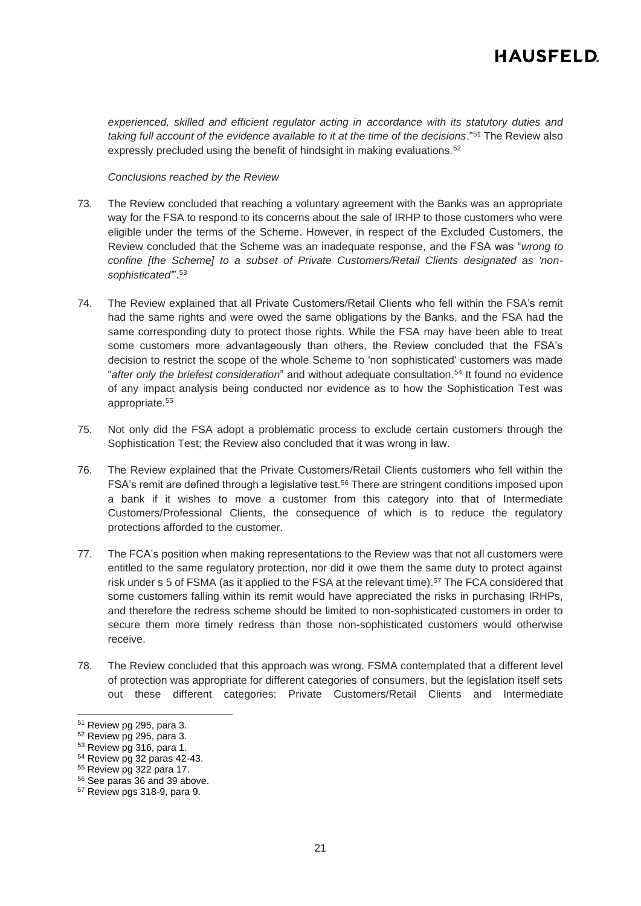*experienced, skilled and efficient regulator acting in accordance with its statutory duties and taking full account of the evidence available to it at the time of the decisions*."<sup>51</sup> The Review also expressly precluded using the benefit of hindsight in making evaluations.<sup>52</sup>

#### *Conclusions reached by the Review*

- 73. The Review concluded that reaching a voluntary agreement with the Banks was an appropriate way for the FSA to respond to its concerns about the sale of IRHP to those customers who were eligible under the terms of the Scheme. However, in respect of the Excluded Customers, the Review concluded that the Scheme was an inadequate response, and the FSA was "*wrong to confine [the Scheme] to a subset of Private Customers/Retail Clients designated as 'nonsophisticated'*".<sup>53</sup>
- 74. The Review explained that all Private Customers/Retail Clients who fell within the FSA's remit had the same rights and were owed the same obligations by the Banks, and the FSA had the same corresponding duty to protect those rights. While the FSA may have been able to treat some customers more advantageously than others, the Review concluded that the FSA's decision to restrict the scope of the whole Scheme to 'non sophisticated' customers was made "*after only the briefest consideration*" and without adequate consultation. <sup>54</sup> It found no evidence of any impact analysis being conducted nor evidence as to how the Sophistication Test was appropriate.<sup>55</sup>
- <span id="page-20-0"></span>75. Not only did the FSA adopt a problematic process to exclude certain customers through the Sophistication Test; the Review also concluded that it was wrong in law.
- 76. The Review explained that the Private Customers/Retail Clients customers who fell within the FSA's remit are defined through a legislative test.<sup>56</sup> There are stringent conditions imposed upon a bank if it wishes to move a customer from this category into that of Intermediate Customers/Professional Clients, the consequence of which is to reduce the regulatory protections afforded to the customer.
- 77. The FCA's position when making representations to the Review was that not all customers were entitled to the same regulatory protection, nor did it owe them the same duty to protect against risk under s 5 of FSMA (as it applied to the FSA at the relevant time). <sup>57</sup> The FCA considered that some customers falling within its remit would have appreciated the risks in purchasing IRHPs, and therefore the redress scheme should be limited to non-sophisticated customers in order to secure them more timely redress than those non-sophisticated customers would otherwise receive.
- 78. The Review concluded that this approach was wrong. FSMA contemplated that a different level of protection was appropriate for different categories of consumers, but the legislation itself sets out these different categories: Private Customers/Retail Clients and Intermediate

<sup>51</sup> Review pg 295, para 3.

<sup>52</sup> Review pg 295, para 3.

<sup>53</sup> Review pg 316, para 1.

<sup>54</sup> Review pg 32 paras 42-43.

<sup>55</sup> Review pg 322 para 17.

<sup>56</sup> See paras [36](#page-8-0) an[d 39](#page-9-0) above.

<sup>57</sup> Review pgs 318-9, para 9.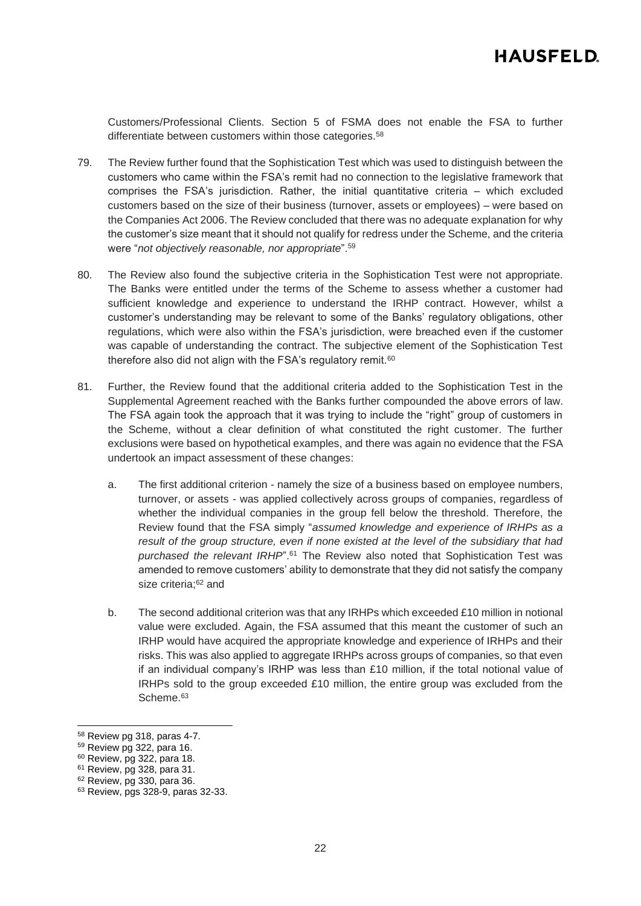Customers/Professional Clients. Section 5 of FSMA does not enable the FSA to further differentiate between customers within those categories.<sup>58</sup>

- 79. The Review further found that the Sophistication Test which was used to distinguish between the customers who came within the FSA's remit had no connection to the legislative framework that comprises the FSA's jurisdiction. Rather, the initial quantitative criteria – which excluded customers based on the size of their business (turnover, assets or employees) – were based on the Companies Act 2006. The Review concluded that there was no adequate explanation for why the customer's size meant that it should not qualify for redress under the Scheme, and the criteria were "*not objectively reasonable, nor appropriate*".<sup>59</sup>
- 80. The Review also found the subjective criteria in the Sophistication Test were not appropriate. The Banks were entitled under the terms of the Scheme to assess whether a customer had sufficient knowledge and experience to understand the IRHP contract. However, whilst a customer's understanding may be relevant to some of the Banks' regulatory obligations, other regulations, which were also within the FSA's jurisdiction, were breached even if the customer was capable of understanding the contract. The subjective element of the Sophistication Test therefore also did not align with the FSA's regulatory remit.<sup>60</sup>
- 81. Further, the Review found that the additional criteria added to the Sophistication Test in the Supplemental Agreement reached with the Banks further compounded the above errors of law. The FSA again took the approach that it was trying to include the "right" group of customers in the Scheme, without a clear definition of what constituted the right customer. The further exclusions were based on hypothetical examples, and there was again no evidence that the FSA undertook an impact assessment of these changes:
	- a. The first additional criterion namely the size of a business based on employee numbers, turnover, or assets - was applied collectively across groups of companies, regardless of whether the individual companies in the group fell below the threshold. Therefore, the Review found that the FSA simply "*assumed knowledge and experience of IRHPs as a result of the group structure, even if none existed at the level of the subsidiary that had purchased the relevant IRHP*".<sup>61</sup> The Review also noted that Sophistication Test was amended to remove customers' ability to demonstrate that they did not satisfy the company size criteria; <sup>62</sup> and
	- b. The second additional criterion was that any IRHPs which exceeded £10 million in notional value were excluded. Again, the FSA assumed that this meant the customer of such an IRHP would have acquired the appropriate knowledge and experience of IRHPs and their risks. This was also applied to aggregate IRHPs across groups of companies, so that even if an individual company's IRHP was less than £10 million, if the total notional value of IRHPs sold to the group exceeded £10 million, the entire group was excluded from the Scheme.<sup>63</sup>

<sup>58</sup> Review pg 318, paras 4-7.

<sup>59</sup> Review pg 322, para 16.

<sup>60</sup> Review, pg 322, para 18.

<sup>61</sup> Review, pg 328, para 31.

<sup>62</sup> Review, pg 330, para 36.

<sup>63</sup> Review, pgs 328-9, paras 32-33.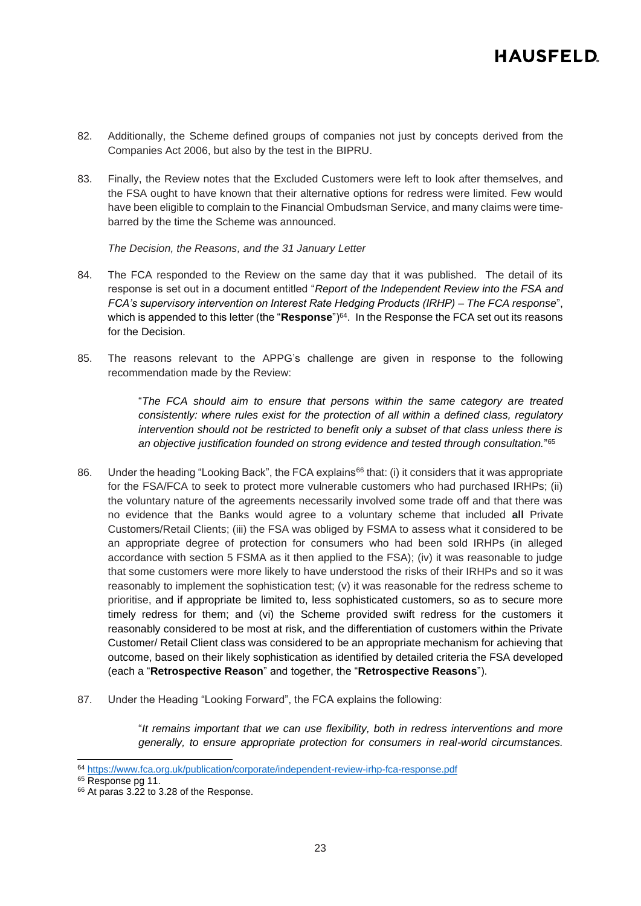- 82. Additionally, the Scheme defined groups of companies not just by concepts derived from the Companies Act 2006, but also by the test in the BIPRU.
- <span id="page-22-0"></span>83. Finally, the Review notes that the Excluded Customers were left to look after themselves, and the FSA ought to have known that their alternative options for redress were limited. Few would have been eligible to complain to the Financial Ombudsman Service, and many claims were timebarred by the time the Scheme was announced.

*The Decision, the Reasons, and the 31 January Letter*

- 84. The FCA responded to the Review on the same day that it was published. The detail of its response is set out in a document entitled "*Report of the Independent Review into the FSA and FCA's supervisory intervention on Interest Rate Hedging Products (IRHP) – The FCA response*", which is appended to this letter (the "Response")<sup>64</sup>. In the Response the FCA set out its reasons for the Decision.
- 85. The reasons relevant to the APPG's challenge are given in response to the following recommendation made by the Review:

"*The FCA should aim to ensure that persons within the same category are treated consistently: where rules exist for the protection of all within a defined class, regulatory intervention should not be restricted to benefit only a subset of that class unless there is an objective justification founded on strong evidence and tested through consultation.*" 65

- 86. Under the heading "Looking Back", the FCA explains<sup>66</sup> that: (i) it considers that it was appropriate for the FSA/FCA to seek to protect more vulnerable customers who had purchased IRHPs; (ii) the voluntary nature of the agreements necessarily involved some trade off and that there was no evidence that the Banks would agree to a voluntary scheme that included **all** Private Customers/Retail Clients; (iii) the FSA was obliged by FSMA to assess what it considered to be an appropriate degree of protection for consumers who had been sold IRHPs (in alleged accordance with section 5 FSMA as it then applied to the FSA); (iv) it was reasonable to judge that some customers were more likely to have understood the risks of their IRHPs and so it was reasonably to implement the sophistication test; (v) it was reasonable for the redress scheme to prioritise, and if appropriate be limited to, less sophisticated customers, so as to secure more timely redress for them; and (vi) the Scheme provided swift redress for the customers it reasonably considered to be most at risk, and the differentiation of customers within the Private Customer/ Retail Client class was considered to be an appropriate mechanism for achieving that outcome, based on their likely sophistication as identified by detailed criteria the FSA developed (each a "**Retrospective Reason**" and together, the "**Retrospective Reasons**").
- 87. Under the Heading "Looking Forward", the FCA explains the following:

"*It remains important that we can use flexibility, both in redress interventions and more generally, to ensure appropriate protection for consumers in real-world circumstances.* 

<sup>64</sup> <https://www.fca.org.uk/publication/corporate/independent-review-irhp-fca-response.pdf>

<sup>&</sup>lt;sup>65</sup> Response pg 11.

<sup>66</sup> At paras 3.22 to 3.28 of the Response.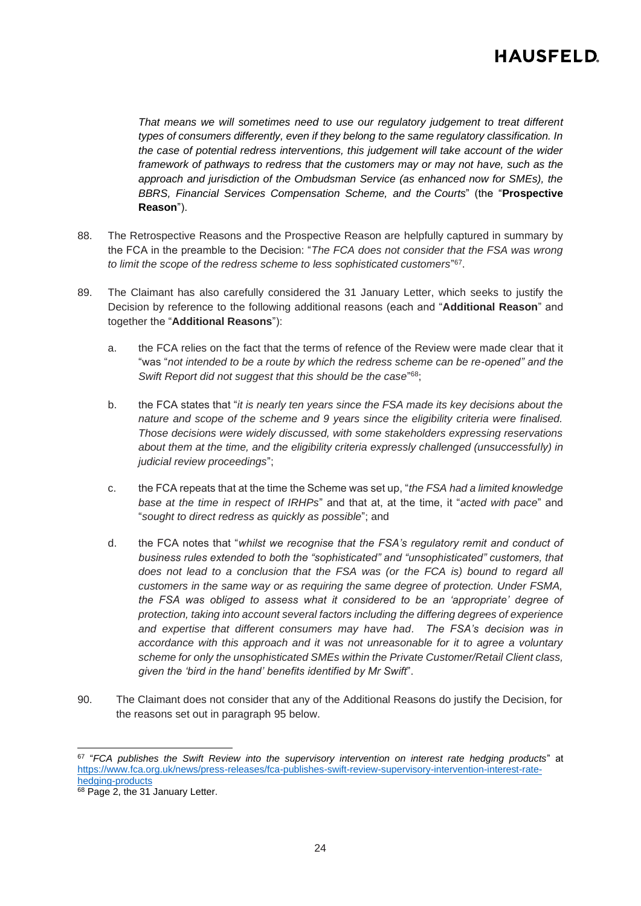*That means we will sometimes need to use our regulatory judgement to treat different types of consumers differently, even if they belong to the same regulatory classification. In the case of potential redress interventions, this judgement will take account of the wider framework of pathways to redress that the customers may or may not have, such as the approach and jurisdiction of the Ombudsman Service (as enhanced now for SMEs), the BBRS, Financial Services Compensation Scheme, and the Courts*" (the "**Prospective Reason**").

- 88. The Retrospective Reasons and the Prospective Reason are helpfully captured in summary by the FCA in the preamble to the Decision: "*The FCA does not consider that the FSA was wrong to limit the scope of the redress scheme to less sophisticated customers*" 67 .
- 89. The Claimant has also carefully considered the 31 January Letter, which seeks to justify the Decision by reference to the following additional reasons (each and "**Additional Reason**" and together the "**Additional Reasons**"):
	- a. the FCA relies on the fact that the terms of refence of the Review were made clear that it "was "*not intended to be a route by which the redress scheme can be re-opened" and the*  Swift Report did not suggest that this should be the case<sup>"68</sup>;
	- b. the FCA states that "*it is nearly ten years since the FSA made its key decisions about the nature and scope of the scheme and 9 years since the eligibility criteria were finalised. Those decisions were widely discussed, with some stakeholders expressing reservations about them at the time, and the eligibility criteria expressly challenged (unsuccessfully) in judicial review proceedings*";
	- c. the FCA repeats that at the time the Scheme was set up, "*the FSA had a limited knowledge base at the time in respect of IRHPs*" and that at, at the time, it "*acted with pace*" and "*sought to direct redress as quickly as possible*"; and
	- d. the FCA notes that "*whilst we recognise that the FSA's regulatory remit and conduct of business rules extended to both the "sophisticated" and "unsophisticated" customers, that*  does not lead to a conclusion that the FSA was (or the FCA is) bound to regard all *customers in the same way or as requiring the same degree of protection. Under FSMA, the FSA was obliged to assess what it considered to be an 'appropriate' degree of protection, taking into account several factors including the differing degrees of experience and expertise that different consumers may have had. The FSA's decision was in accordance with this approach and it was not unreasonable for it to agree a voluntary scheme for only the unsophisticated SMEs within the Private Customer/Retail Client class, given the 'bird in the hand' benefits identified by Mr Swift*".
- 90. The Claimant does not consider that any of the Additional Reasons do justify the Decision, for the reasons set out in paragraph [95](#page-26-0) below.

<sup>67</sup> "*FCA publishes the Swift Review into the supervisory intervention on interest rate hedging products*" at [https://www.fca.org.uk/news/press-releases/fca-publishes-swift-review-supervisory-intervention-interest-rate](https://www.fca.org.uk/news/press-releases/fca-publishes-swift-review-supervisory-intervention-interest-rate-hedging-products)[hedging-products](https://www.fca.org.uk/news/press-releases/fca-publishes-swift-review-supervisory-intervention-interest-rate-hedging-products)

<sup>&</sup>lt;sup>68</sup> Page 2, the 31 January Letter.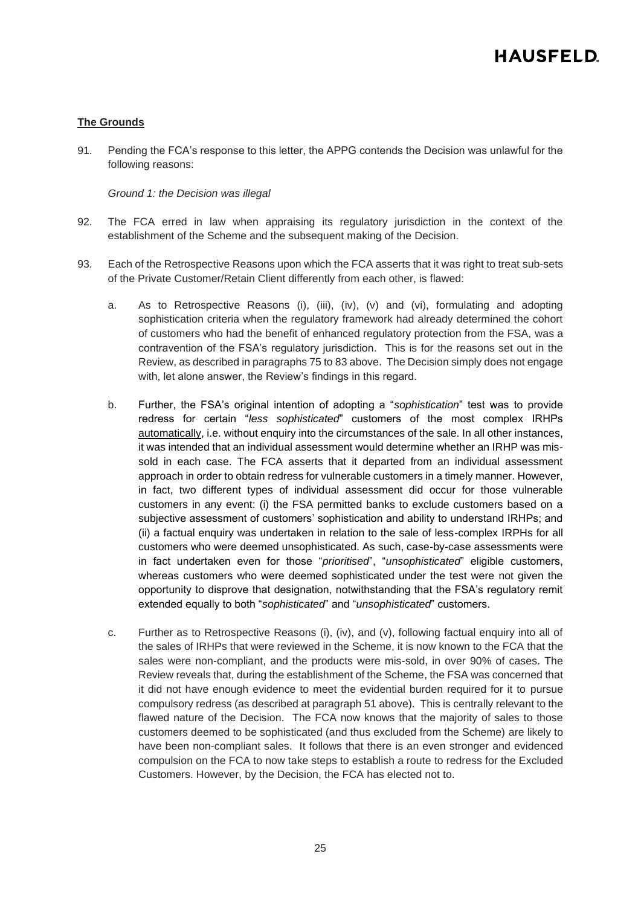### **The Grounds**

91. Pending the FCA's response to this letter, the APPG contends the Decision was unlawful for the following reasons:

*Ground 1: the Decision was illegal*

- 92. The FCA erred in law when appraising its regulatory jurisdiction in the context of the establishment of the Scheme and the subsequent making of the Decision.
- <span id="page-24-0"></span>93. Each of the Retrospective Reasons upon which the FCA asserts that it was right to treat sub-sets of the Private Customer/Retain Client differently from each other, is flawed:
	- a. As to Retrospective Reasons (i), (iii), (iv), (v) and (vi), formulating and adopting sophistication criteria when the regulatory framework had already determined the cohort of customers who had the benefit of enhanced regulatory protection from the FSA, was a contravention of the FSA's regulatory jurisdiction. This is for the reasons set out in the Review, as described in paragraph[s 75](#page-20-0) t[o 83](#page-22-0) above. The Decision simply does not engage with, let alone answer, the Review's findings in this regard.
	- b. Further, the FSA's original intention of adopting a "*sophistication*" test was to provide redress for certain "*less sophisticated*" customers of the most complex IRHPs automatically, i.e. without enquiry into the circumstances of the sale. In all other instances, it was intended that an individual assessment would determine whether an IRHP was missold in each case. The FCA asserts that it departed from an individual assessment approach in order to obtain redress for vulnerable customers in a timely manner. However, in fact, two different types of individual assessment did occur for those vulnerable customers in any event: (i) the FSA permitted banks to exclude customers based on a subjective assessment of customers' sophistication and ability to understand IRHPs; and (ii) a factual enquiry was undertaken in relation to the sale of less-complex IRPHs for all customers who were deemed unsophisticated. As such, case-by-case assessments were in fact undertaken even for those "*prioritised*", "*unsophisticated*" eligible customers, whereas customers who were deemed sophisticated under the test were not given the opportunity to disprove that designation, notwithstanding that the FSA's regulatory remit extended equally to both "*sophisticated*" and "*unsophisticated*" customers.
	- c. Further as to Retrospective Reasons (i), (iv), and (v), following factual enquiry into all of the sales of IRHPs that were reviewed in the Scheme, it is now known to the FCA that the sales were non-compliant, and the products were mis-sold, in over 90% of cases. The Review reveals that, during the establishment of the Scheme, the FSA was concerned that it did not have enough evidence to meet the evidential burden required for it to pursue compulsory redress (as described at paragraph [51](#page-11-0) above). This is centrally relevant to the flawed nature of the Decision. The FCA now knows that the majority of sales to those customers deemed to be sophisticated (and thus excluded from the Scheme) are likely to have been non-compliant sales. It follows that there is an even stronger and evidenced compulsion on the FCA to now take steps to establish a route to redress for the Excluded Customers. However, by the Decision, the FCA has elected not to.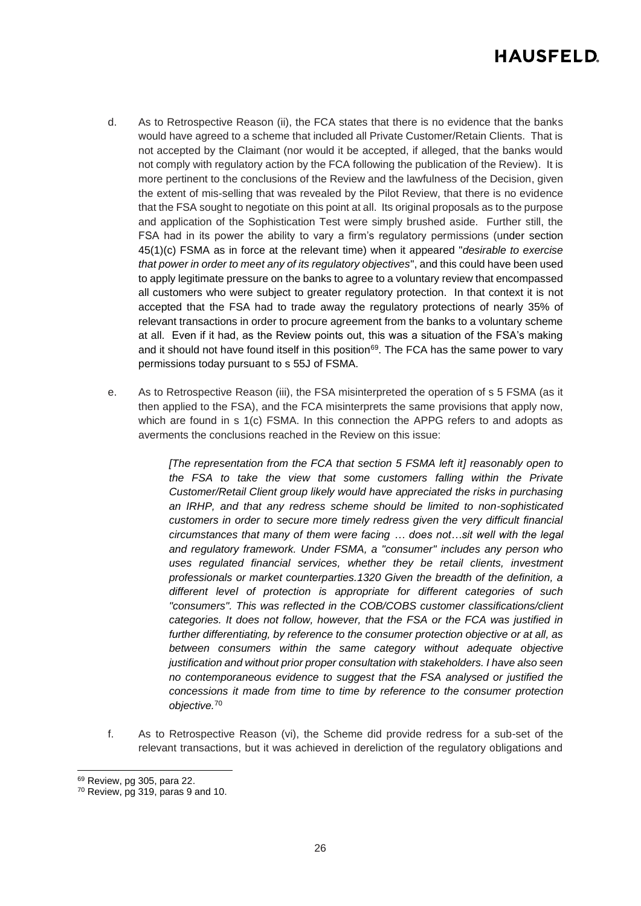- d. As to Retrospective Reason (ii), the FCA states that there is no evidence that the banks would have agreed to a scheme that included all Private Customer/Retain Clients. That is not accepted by the Claimant (nor would it be accepted, if alleged, that the banks would not comply with regulatory action by the FCA following the publication of the Review). It is more pertinent to the conclusions of the Review and the lawfulness of the Decision, given the extent of mis-selling that was revealed by the Pilot Review, that there is no evidence that the FSA sought to negotiate on this point at all. Its original proposals as to the purpose and application of the Sophistication Test were simply brushed aside. Further still, the FSA had in its power the ability to vary a firm's regulatory permissions (under section 45(1)(c) FSMA as in force at the relevant time) when it appeared "*desirable to exercise that power in order to meet any of its regulatory objectives*", and this could have been used to apply legitimate pressure on the banks to agree to a voluntary review that encompassed all customers who were subject to greater regulatory protection. In that context it is not accepted that the FSA had to trade away the regulatory protections of nearly 35% of relevant transactions in order to procure agreement from the banks to a voluntary scheme at all. Even if it had, as the Review points out, this was a situation of the FSA's making and it should not have found itself in this position<sup>69</sup>. The FCA has the same power to vary permissions today pursuant to s 55J of FSMA.
- e. As to Retrospective Reason (iii), the FSA misinterpreted the operation of s 5 FSMA (as it then applied to the FSA), and the FCA misinterprets the same provisions that apply now, which are found in s 1(c) FSMA. In this connection the APPG refers to and adopts as averments the conclusions reached in the Review on this issue:

*[The representation from the FCA that section 5 FSMA left it] reasonably open to the FSA to take the view that some customers falling within the Private Customer/Retail Client group likely would have appreciated the risks in purchasing an IRHP, and that any redress scheme should be limited to non-sophisticated customers in order to secure more timely redress given the very difficult financial circumstances that many of them were facing … does not…sit well with the legal and regulatory framework. Under FSMA, a "consumer" includes any person who uses regulated financial services, whether they be retail clients, investment professionals or market counterparties.1320 Given the breadth of the definition, a different level of protection is appropriate for different categories of such "consumers". This was reflected in the COB/COBS customer classifications/client categories. It does not follow, however, that the FSA or the FCA was justified in further differentiating, by reference to the consumer protection objective or at all, as between consumers within the same category without adequate objective justification and without prior proper consultation with stakeholders. I have also seen no contemporaneous evidence to suggest that the FSA analysed or justified the concessions it made from time to time by reference to the consumer protection objective.*<sup>70</sup>

f. As to Retrospective Reason (vi), the Scheme did provide redress for a sub-set of the relevant transactions, but it was achieved in dereliction of the regulatory obligations and

<sup>69</sup> Review, pg 305, para 22.

<sup>70</sup> Review, pg 319, paras 9 and 10.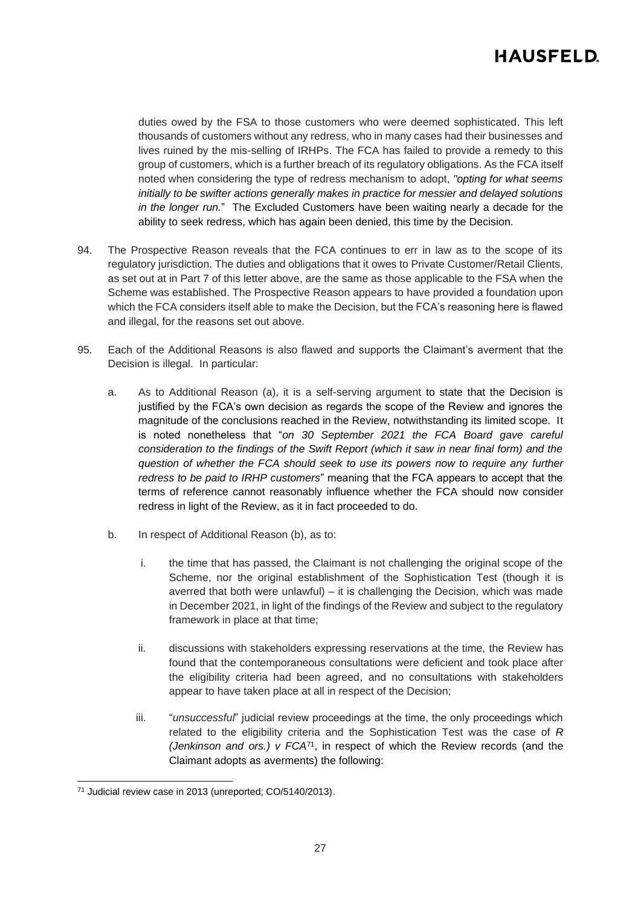duties owed by the FSA to those customers who were deemed sophisticated. This left thousands of customers without any redress, who in many cases had their businesses and lives ruined by the mis-selling of IRHPs. The FCA has failed to provide a remedy to this group of customers, which is a further breach of its regulatory obligations. As the FCA itself noted when considering the type of redress mechanism to adopt, *"opting for what seems initially to be swifter actions generally makes in practice for messier and delayed solutions in the longer run.*" The Excluded Customers have been waiting nearly a decade for the ability to seek redress, which has again been denied, this time by the Decision.

- 94. The Prospective Reason reveals that the FCA continues to err in law as to the scope of its regulatory jurisdiction. The duties and obligations that it owes to Private Customer/Retail Clients, as set out at in Part 7 of this letter above, are the same as those applicable to the FSA when the Scheme was established. The Prospective Reason appears to have provided a foundation upon which the FCA considers itself able to make the Decision, but the FCA's reasoning here is flawed and illegal, for the reasons set out above.
- <span id="page-26-0"></span>95. Each of the Additional Reasons is also flawed and supports the Claimant's averment that the Decision is illegal. In particular:
	- a. As to Additional Reason (a), it is a self-serving argument to state that the Decision is justified by the FCA's own decision as regards the scope of the Review and ignores the magnitude of the conclusions reached in the Review, notwithstanding its limited scope. It is noted nonetheless that "*on 30 September 2021 the FCA Board gave careful consideration to the findings of the Swift Report (which it saw in near final form) and the question of whether the FCA should seek to use its powers now to require any further redress to be paid to IRHP customers*" meaning that the FCA appears to accept that the terms of reference cannot reasonably influence whether the FCA should now consider redress in light of the Review, as it in fact proceeded to do.
	- b. In respect of Additional Reason (b), as to:
		- i. the time that has passed, the Claimant is not challenging the original scope of the Scheme, nor the original establishment of the Sophistication Test (though it is averred that both were unlawful) – it is challenging the Decision, which was made in December 2021, in light of the findings of the Review and subject to the regulatory framework in place at that time;
		- ii. discussions with stakeholders expressing reservations at the time, the Review has found that the contemporaneous consultations were deficient and took place after the eligibility criteria had been agreed, and no consultations with stakeholders appear to have taken place at all in respect of the Decision;
		- iii. "*unsuccessful*" judicial review proceedings at the time, the only proceedings which related to the eligibility criteria and the Sophistication Test was the case of *R (Jenkinson and ors.) v FCA*<sup>71</sup>, in respect of which the Review records (and the Claimant adopts as averments) the following:

<sup>71</sup> Judicial review case in 2013 (unreported; CO/5140/2013).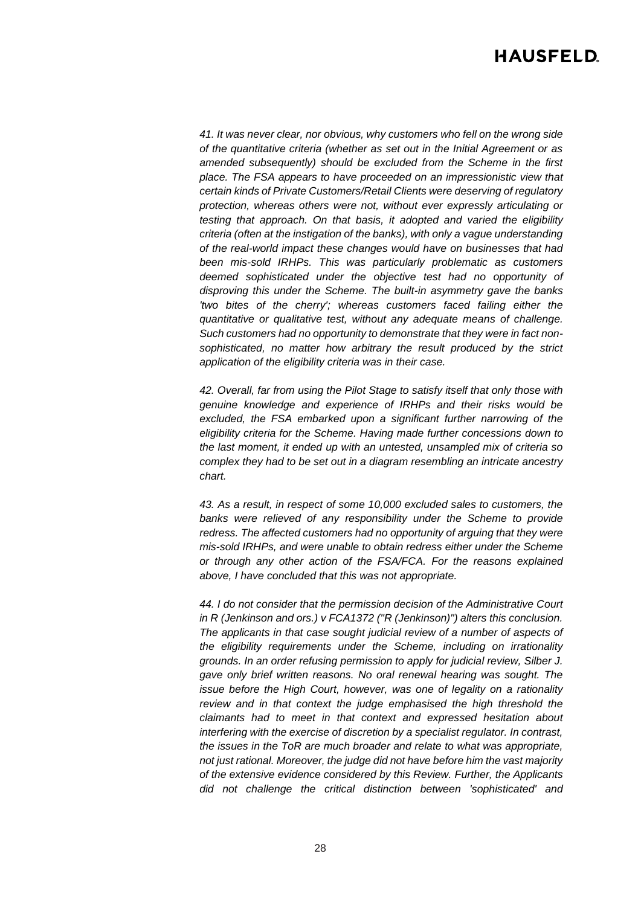*41. It was never clear, nor obvious, why customers who fell on the wrong side of the quantitative criteria (whether as set out in the Initial Agreement or as amended subsequently) should be excluded from the Scheme in the first place. The FSA appears to have proceeded on an impressionistic view that certain kinds of Private Customers/Retail Clients were deserving of regulatory protection, whereas others were not, without ever expressly articulating or testing that approach. On that basis, it adopted and varied the eligibility criteria (often at the instigation of the banks), with only a vague understanding of the real-world impact these changes would have on businesses that had been mis-sold IRHPs. This was particularly problematic as customers deemed sophisticated under the objective test had no opportunity of disproving this under the Scheme. The built-in asymmetry gave the banks 'two bites of the cherry'; whereas customers faced failing either the quantitative or qualitative test, without any adequate means of challenge. Such customers had no opportunity to demonstrate that they were in fact nonsophisticated, no matter how arbitrary the result produced by the strict application of the eligibility criteria was in their case.* 

*42. Overall, far from using the Pilot Stage to satisfy itself that only those with genuine knowledge and experience of IRHPs and their risks would be excluded, the FSA embarked upon a significant further narrowing of the eligibility criteria for the Scheme. Having made further concessions down to the last moment, it ended up with an untested, unsampled mix of criteria so complex they had to be set out in a diagram resembling an intricate ancestry chart.*

*43. As a result, in respect of some 10,000 excluded sales to customers, the banks were relieved of any responsibility under the Scheme to provide redress. The affected customers had no opportunity of arguing that they were mis-sold IRHPs, and were unable to obtain redress either under the Scheme or through any other action of the FSA/FCA. For the reasons explained above, I have concluded that this was not appropriate.* 

*44. I do not consider that the permission decision of the Administrative Court in R (Jenkinson and ors.) v FCA1372 ("R (Jenkinson)") alters this conclusion. The applicants in that case sought judicial review of a number of aspects of the eligibility requirements under the Scheme, including on irrationality grounds. In an order refusing permission to apply for judicial review, Silber J. gave only brief written reasons. No oral renewal hearing was sought. The issue before the High Court, however, was one of legality on a rationality review and in that context the judge emphasised the high threshold the claimants had to meet in that context and expressed hesitation about interfering with the exercise of discretion by a specialist regulator. In contrast, the issues in the ToR are much broader and relate to what was appropriate, not just rational. Moreover, the judge did not have before him the vast majority of the extensive evidence considered by this Review. Further, the Applicants did not challenge the critical distinction between 'sophisticated' and*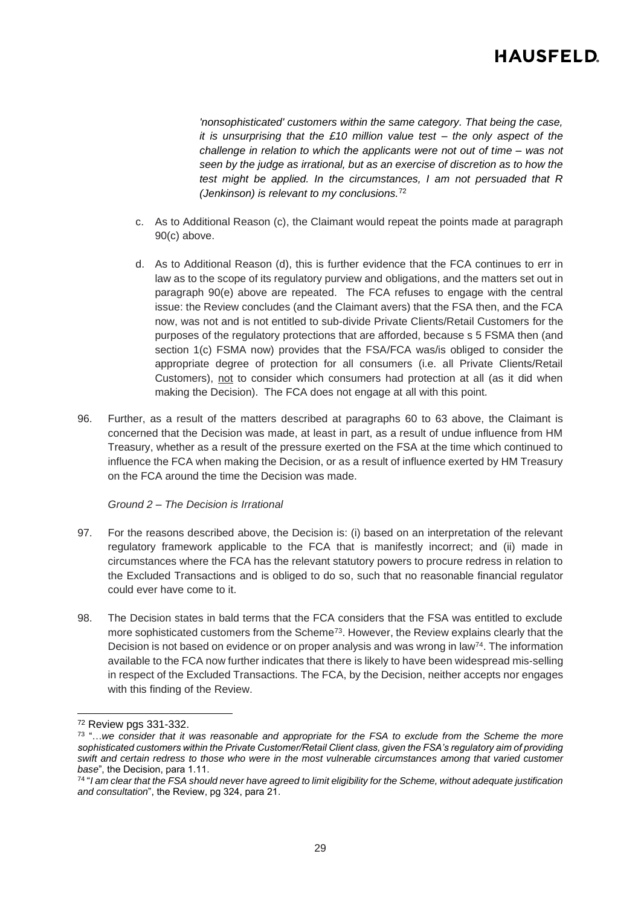*'nonsophisticated' customers within the same category. That being the case, it is unsurprising that the £10 million value test – the only aspect of the challenge in relation to which the applicants were not out of time – was not seen by the judge as irrational, but as an exercise of discretion as to how the test might be applied. In the circumstances, I am not persuaded that R (Jenkinson) is relevant to my conclusions.*<sup>72</sup>

- c. As to Additional Reason (c), the Claimant would repeat the points made at paragraph 90(c) above.
- d. As to Additional Reason (d), this is further evidence that the FCA continues to err in law as to the scope of its regulatory purview and obligations, and the matters set out in paragraph 90(e) above are repeated. The FCA refuses to engage with the central issue: the Review concludes (and the Claimant avers) that the FSA then, and the FCA now, was not and is not entitled to sub-divide Private Clients/Retail Customers for the purposes of the regulatory protections that are afforded, because s 5 FSMA then (and section 1(c) FSMA now) provides that the FSA/FCA was/is obliged to consider the appropriate degree of protection for all consumers (i.e. all Private Clients/Retail Customers), not to consider which consumers had protection at all (as it did when making the Decision). The FCA does not engage at all with this point.
- 96. Further, as a result of the matters described at paragraphs [60](#page-15-0) to [63](#page-17-0) above, the Claimant is concerned that the Decision was made, at least in part, as a result of undue influence from HM Treasury, whether as a result of the pressure exerted on the FSA at the time which continued to influence the FCA when making the Decision, or as a result of influence exerted by HM Treasury on the FCA around the time the Decision was made.

### *Ground 2 – The Decision is Irrational*

- 97. For the reasons described above, the Decision is: (i) based on an interpretation of the relevant regulatory framework applicable to the FCA that is manifestly incorrect; and (ii) made in circumstances where the FCA has the relevant statutory powers to procure redress in relation to the Excluded Transactions and is obliged to do so, such that no reasonable financial regulator could ever have come to it.
- 98. The Decision states in bald terms that the FCA considers that the FSA was entitled to exclude more sophisticated customers from the Scheme<sup>73</sup>. However, the Review explains clearly that the Decision is not based on evidence or on proper analysis and was wrong in law<sup>74</sup>. The information available to the FCA now further indicates that there is likely to have been widespread mis-selling in respect of the Excluded Transactions. The FCA, by the Decision, neither accepts nor engages with this finding of the Review.

<sup>72</sup> Review pgs 331-332.

<sup>73</sup> "…*we consider that it was reasonable and appropriate for the FSA to exclude from the Scheme the more sophisticated customers within the Private Customer/Retail Client class, given the FSA's regulatory aim of providing swift and certain redress to those who were in the most vulnerable circumstances among that varied customer base*", the Decision, para 1.11.

<sup>74</sup> "*I am clear that the FSA should never have agreed to limit eligibility for the Scheme, without adequate justification and consultation*", the Review, pg 324, para 21.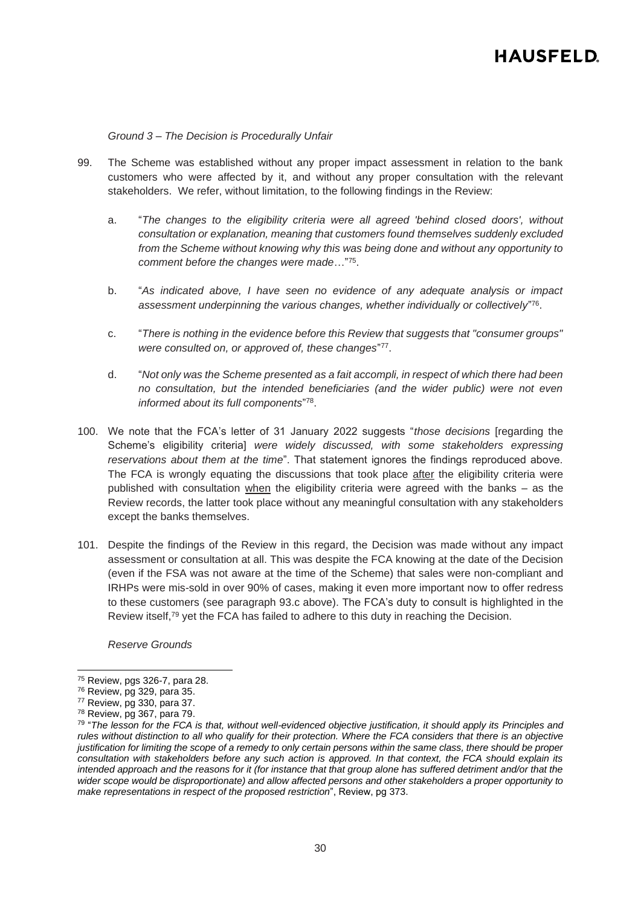*Ground 3 – The Decision is Procedurally Unfair*

- 99. The Scheme was established without any proper impact assessment in relation to the bank customers who were affected by it, and without any proper consultation with the relevant stakeholders. We refer, without limitation, to the following findings in the Review:
	- a. "*The changes to the eligibility criteria were all agreed 'behind closed doors', without consultation or explanation, meaning that customers found themselves suddenly excluded from the Scheme without knowing why this was being done and without any opportunity to comment before the changes were made*…"<sup>75</sup> .
	- b. "*As indicated above, I have seen no evidence of any adequate analysis or impact assessment underpinning the various changes, whether individually or collectively*" 76 .
	- c. "*There is nothing in the evidence before this Review that suggests that "consumer groups"*  were consulted on, or approved of, these changes"<sup>77</sup>.
	- d. "*Not only was the Scheme presented as a fait accompli, in respect of which there had been no consultation, but the intended beneficiaries (and the wider public) were not even informed about its full components*" 78 .
- 100. We note that the FCA's letter of 31 January 2022 suggests "*those decisions* [regarding the Scheme's eligibility criteria] *were widely discussed, with some stakeholders expressing reservations about them at the time*". That statement ignores the findings reproduced above. The FCA is wrongly equating the discussions that took place after the eligibility criteria were published with consultation when the eligibility criteria were agreed with the banks – as the Review records, the latter took place without any meaningful consultation with any stakeholders except the banks themselves.
- 101. Despite the findings of the Review in this regard, the Decision was made without any impact assessment or consultation at all. This was despite the FCA knowing at the date of the Decision (even if the FSA was not aware at the time of the Scheme) that sales were non-compliant and IRHPs were mis-sold in over 90% of cases, making it even more important now to offer redress to these customers (see paragraph [93.c](#page-24-0) above). The FCA's duty to consult is highlighted in the Review itself, <sup>79</sup> yet the FCA has failed to adhere to this duty in reaching the Decision.

*Reserve Grounds*

<sup>75</sup> Review, pgs 326-7, para 28.

<sup>76</sup> Review, pg 329, para 35.

<sup>77</sup> Review, pg 330, para 37.

<sup>78</sup> Review, pg 367, para 79.

<sup>79</sup> "*The lesson for the FCA is that, without well-evidenced objective justification, it should apply its Principles and rules without distinction to all who qualify for their protection. Where the FCA considers that there is an objective justification for limiting the scope of a remedy to only certain persons within the same class, there should be proper consultation with stakeholders before any such action is approved. In that context, the FCA should explain its*  intended approach and the reasons for it (for instance that that group alone has suffered detriment and/or that the *wider scope would be disproportionate) and allow affected persons and other stakeholders a proper opportunity to make representations in respect of the proposed restriction*", Review, pg 373.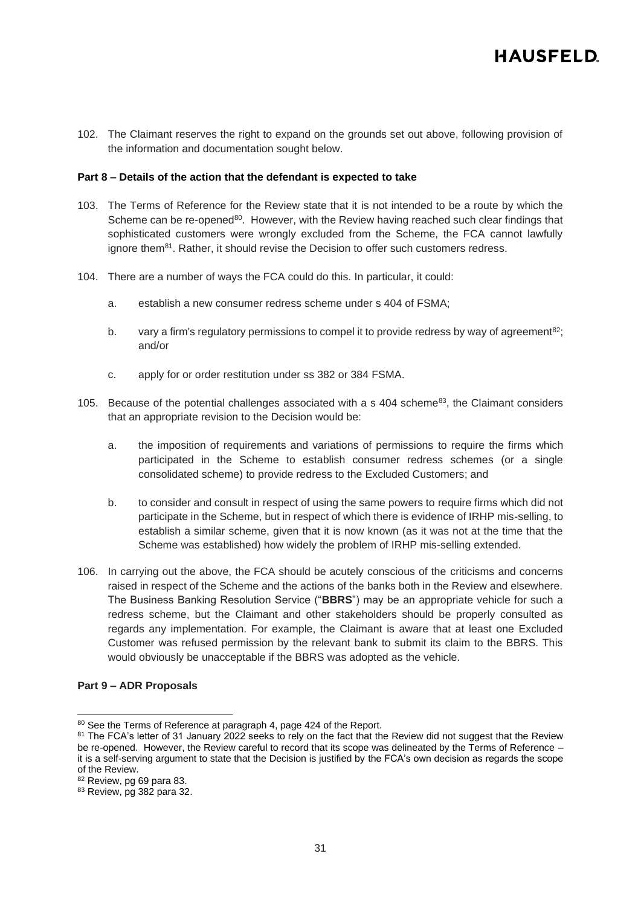102. The Claimant reserves the right to expand on the grounds set out above, following provision of the information and documentation sought below.

#### **Part 8 – Details of the action that the defendant is expected to take**

- 103. The Terms of Reference for the Review state that it is not intended to be a route by which the Scheme can be re-opened<sup>80</sup>. However, with the Review having reached such clear findings that sophisticated customers were wrongly excluded from the Scheme, the FCA cannot lawfully ignore them $81$ . Rather, it should revise the Decision to offer such customers redress.
- 104. There are a number of ways the FCA could do this. In particular, it could:
	- a. establish a new consumer redress scheme under s 404 of FSMA;
	- b. vary a firm's regulatory permissions to compel it to provide redress by way of agreement<sup>82</sup>; and/or
	- c. apply for or order restitution under ss 382 or 384 FSMA.
- 105. Because of the potential challenges associated with a s 404 scheme<sup>83</sup>, the Claimant considers that an appropriate revision to the Decision would be:
	- a. the imposition of requirements and variations of permissions to require the firms which participated in the Scheme to establish consumer redress schemes (or a single consolidated scheme) to provide redress to the Excluded Customers; and
	- b. to consider and consult in respect of using the same powers to require firms which did not participate in the Scheme, but in respect of which there is evidence of IRHP mis-selling, to establish a similar scheme, given that it is now known (as it was not at the time that the Scheme was established) how widely the problem of IRHP mis-selling extended.
- 106. In carrying out the above, the FCA should be acutely conscious of the criticisms and concerns raised in respect of the Scheme and the actions of the banks both in the Review and elsewhere. The Business Banking Resolution Service ("**BBRS**") may be an appropriate vehicle for such a redress scheme, but the Claimant and other stakeholders should be properly consulted as regards any implementation. For example, the Claimant is aware that at least one Excluded Customer was refused permission by the relevant bank to submit its claim to the BBRS. This would obviously be unacceptable if the BBRS was adopted as the vehicle.

#### **Part 9 – ADR Proposals**

<sup>80</sup> See the Terms of Reference at paragraph 4, page 424 of the Report.

<sup>81</sup> The FCA's letter of 31 January 2022 seeks to rely on the fact that the Review did not suggest that the Review be re-opened. However, the Review careful to record that its scope was delineated by the Terms of Reference – it is a self-serving argument to state that the Decision is justified by the FCA's own decision as regards the scope of the Review.

<sup>82</sup> Review, pg 69 para 83.

<sup>83</sup> Review, pg 382 para 32.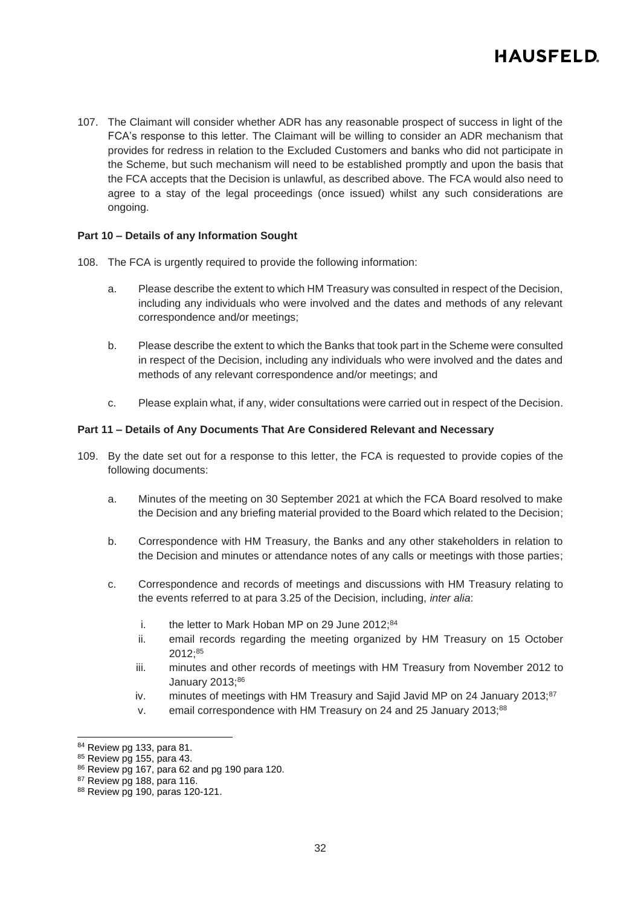107. The Claimant will consider whether ADR has any reasonable prospect of success in light of the FCA's response to this letter. The Claimant will be willing to consider an ADR mechanism that provides for redress in relation to the Excluded Customers and banks who did not participate in the Scheme, but such mechanism will need to be established promptly and upon the basis that the FCA accepts that the Decision is unlawful, as described above. The FCA would also need to agree to a stay of the legal proceedings (once issued) whilst any such considerations are ongoing.

### **Part 10 – Details of any Information Sought**

- 108. The FCA is urgently required to provide the following information:
	- a. Please describe the extent to which HM Treasury was consulted in respect of the Decision, including any individuals who were involved and the dates and methods of any relevant correspondence and/or meetings;
	- b. Please describe the extent to which the Banks that took part in the Scheme were consulted in respect of the Decision, including any individuals who were involved and the dates and methods of any relevant correspondence and/or meetings; and
	- c. Please explain what, if any, wider consultations were carried out in respect of the Decision.

### **Part 11 – Details of Any Documents That Are Considered Relevant and Necessary**

- 109. By the date set out for a response to this letter, the FCA is requested to provide copies of the following documents:
	- a. Minutes of the meeting on 30 September 2021 at which the FCA Board resolved to make the Decision and any briefing material provided to the Board which related to the Decision;
	- b. Correspondence with HM Treasury, the Banks and any other stakeholders in relation to the Decision and minutes or attendance notes of any calls or meetings with those parties;
	- c. Correspondence and records of meetings and discussions with HM Treasury relating to the events referred to at para 3.25 of the Decision, including, *inter alia*:
		- i. the letter to Mark Hoban MP on 29 June  $2012$ ;  $84$
		- ii. email records regarding the meeting organized by HM Treasury on 15 October 2012;<sup>85</sup>
		- iii. minutes and other records of meetings with HM Treasury from November 2012 to January 2013;86
		- iv. minutes of meetings with HM Treasury and Sajid Javid MP on 24 January 2013; $87$
		- v. email correspondence with HM Treasury on 24 and 25 January 2013;88

<sup>84</sup> Review pg 133, para 81.

<sup>85</sup> Review pg 155, para 43.

<sup>86</sup> Review pg 167, para 62 and pg 190 para 120.

<sup>87</sup> Review pg 188, para 116.

<sup>88</sup> Review pg 190, paras 120-121.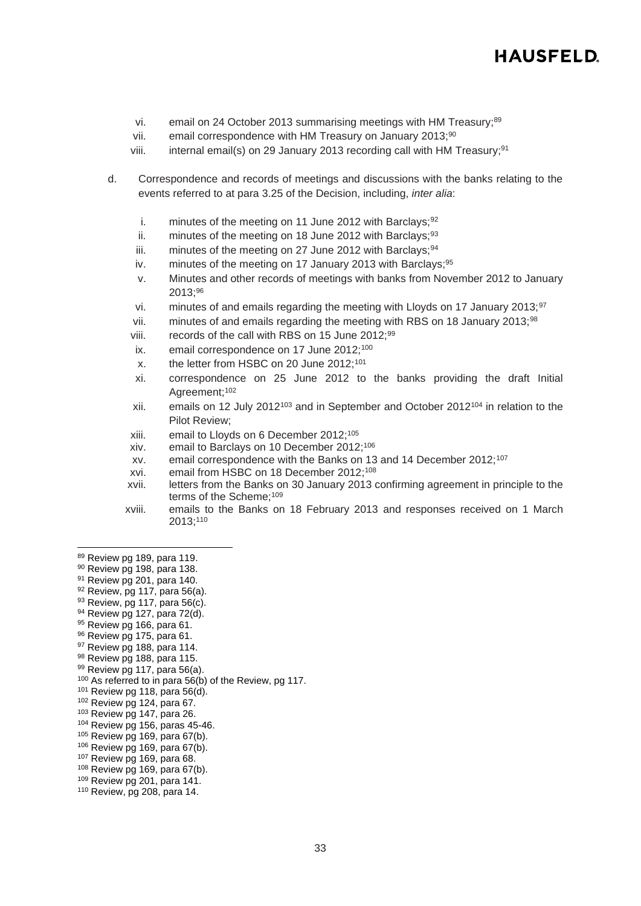- vi. email on 24 October 2013 summarising meetings with HM Treasury;<sup>89</sup>
- vii. email correspondence with HM Treasury on January 2013;<sup>90</sup>
- viii. internal email(s) on 29 January 2013 recording call with HM Treasury; 91
- d. Correspondence and records of meetings and discussions with the banks relating to the events referred to at para 3.25 of the Decision, including, *inter alia*:
	- i. minutes of the meeting on 11 June 2012 with Barclays;  $92$
	- ii. minutes of the meeting on 18 June 2012 with Barclays;  $93$
	- iii. minutes of the meeting on 27 June 2012 with Barclays;  $94$
	- iv. minutes of the meeting on 17 January 2013 with Barclays;  $95$
	- v. Minutes and other records of meetings with banks from November 2012 to January 2013;<sup>96</sup>
	- vi. minutes of and emails regarding the meeting with Lloyds on 17 January 2013;  $97$
	- vii. minutes of and emails regarding the meeting with RBS on 18 January 2013;<sup>98</sup>
	- viii. records of the call with RBS on 15 June 2012;<sup>99</sup>
	- ix. email correspondence on 17 June 2012;<sup>100</sup>
	- x. the letter from HSBC on 20 June 2012;<sup>101</sup>
	- xi. correspondence on 25 June 2012 to the banks providing the draft Initial Agreement;<sup>102</sup>
	- xii. emails on 12 July 2012<sup>103</sup> and in September and October 2012<sup>104</sup> in relation to the Pilot Review;
	- xiii. email to Lloyds on 6 December 2012; 105
	- xiv. email to Barclays on 10 December 2012; 106
	- xv. email correspondence with the Banks on 13 and 14 December 2012;<sup>107</sup>
	- xvi. email from HSBC on 18 December 2012; 108
	- xvii. letters from the Banks on 30 January 2013 confirming agreement in principle to the terms of the Scheme;<sup>109</sup>
	- xviii. emails to the Banks on 18 February 2013 and responses received on 1 March 2013; 110

- 90 Review pg 198, para 138.
- <sup>91</sup> Review pg 201, para 140.
- 92 Review, pg 117, para 56(a).
- $93$  Review, pg 117, para 56(c).
- <sup>94</sup> Review pg 127, para 72(d).
- 95 Review pg 166, para 61.
- 96 Review pg 175, para 61.
- 97 Review pg 188, para 114.
- 98 Review pg 188, para 115. 99 Review pg 117, para 56(a).
- 
- <sup>100</sup> As referred to in para 56(b) of the Review, pg 117.
- $101$  Review pg 118, para 56(d). <sup>102</sup> Review pg 124, para 67.
- <sup>103</sup> Review pg 147, para 26.
- <sup>104</sup> Review pg 156, paras 45-46.
- $105$  Review pg 169, para 67(b).
- <sup>106</sup> Review pg 169, para 67(b).
- <sup>107</sup> Review pg 169, para 68.
- <sup>108</sup> Review pg 169, para 67(b).
- <sup>109</sup> Review pg 201, para 141.
- <sup>110</sup> Review, pg 208, para 14.

<sup>89</sup> Review pg 189, para 119.